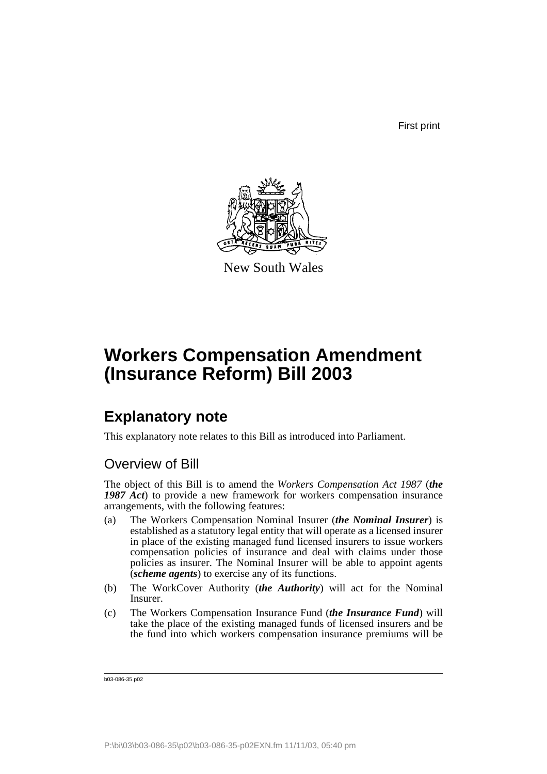First print



New South Wales

# **Workers Compensation Amendment (Insurance Reform) Bill 2003**

# **Explanatory note**

This explanatory note relates to this Bill as introduced into Parliament.

# Overview of Bill

The object of this Bill is to amend the *Workers Compensation Act 1987* (*the 1987 Act*) to provide a new framework for workers compensation insurance arrangements, with the following features:

- (a) The Workers Compensation Nominal Insurer (*the Nominal Insurer*) is established as a statutory legal entity that will operate as a licensed insurer in place of the existing managed fund licensed insurers to issue workers compensation policies of insurance and deal with claims under those policies as insurer. The Nominal Insurer will be able to appoint agents (*scheme agents*) to exercise any of its functions.
- (b) The WorkCover Authority (*the Authority*) will act for the Nominal Insurer.
- (c) The Workers Compensation Insurance Fund (*the Insurance Fund*) will take the place of the existing managed funds of licensed insurers and be the fund into which workers compensation insurance premiums will be

b03-086-35.p02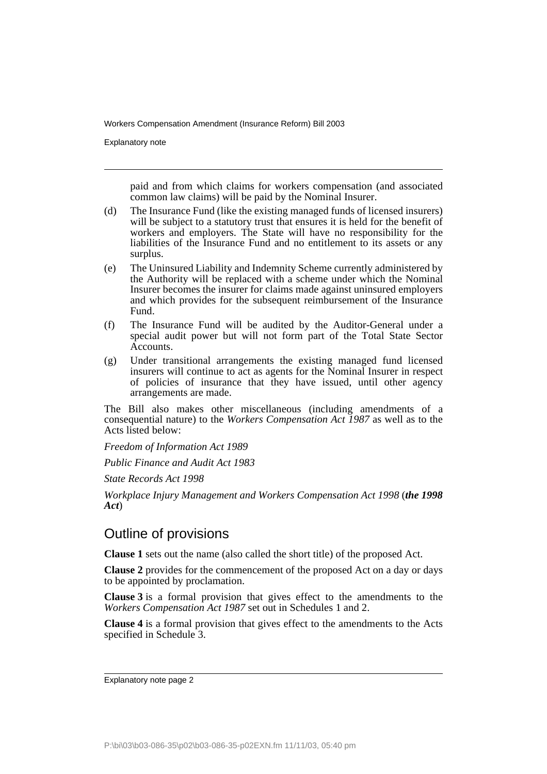Explanatory note

paid and from which claims for workers compensation (and associated common law claims) will be paid by the Nominal Insurer.

- (d) The Insurance Fund (like the existing managed funds of licensed insurers) will be subject to a statutory trust that ensures it is held for the benefit of workers and employers. The State will have no responsibility for the liabilities of the Insurance Fund and no entitlement to its assets or any surplus.
- (e) The Uninsured Liability and Indemnity Scheme currently administered by the Authority will be replaced with a scheme under which the Nominal Insurer becomes the insurer for claims made against uninsured employers and which provides for the subsequent reimbursement of the Insurance Fund.
- (f) The Insurance Fund will be audited by the Auditor-General under a special audit power but will not form part of the Total State Sector Accounts.
- (g) Under transitional arrangements the existing managed fund licensed insurers will continue to act as agents for the Nominal Insurer in respect of policies of insurance that they have issued, until other agency arrangements are made.

The Bill also makes other miscellaneous (including amendments of a consequential nature) to the *Workers Compensation Act 1987* as well as to the Acts listed below:

*Freedom of Information Act 1989*

*Public Finance and Audit Act 1983*

*State Records Act 1998*

*Workplace Injury Management and Workers Compensation Act 1998* (*the 1998 Act*)

# Outline of provisions

**Clause 1** sets out the name (also called the short title) of the proposed Act.

**Clause 2** provides for the commencement of the proposed Act on a day or days to be appointed by proclamation.

**Clause 3** is a formal provision that gives effect to the amendments to the *Workers Compensation Act 1987* set out in Schedules 1 and 2.

**Clause 4** is a formal provision that gives effect to the amendments to the Acts specified in Schedule 3.

Explanatory note page 2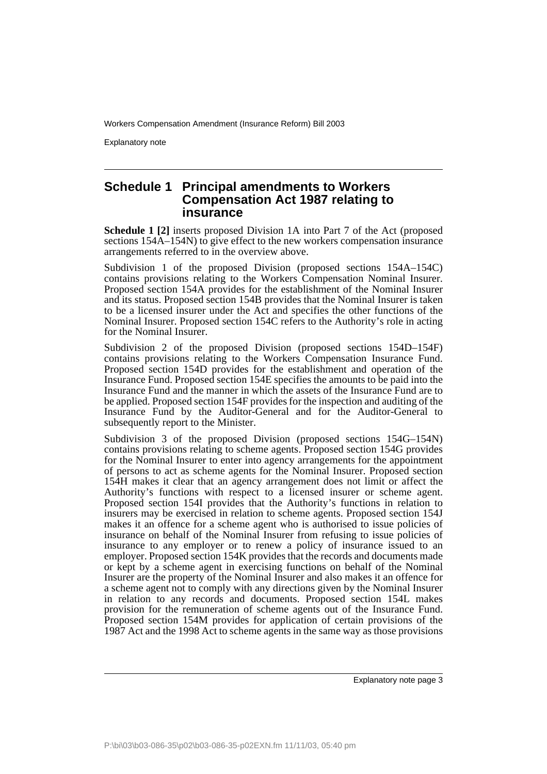Explanatory note

### **Schedule 1 Principal amendments to Workers Compensation Act 1987 relating to insurance**

**Schedule 1 [2]** inserts proposed Division 1A into Part 7 of the Act (proposed sections 154A–154N) to give effect to the new workers compensation insurance arrangements referred to in the overview above.

Subdivision 1 of the proposed Division (proposed sections 154A–154C) contains provisions relating to the Workers Compensation Nominal Insurer. Proposed section 154A provides for the establishment of the Nominal Insurer and its status. Proposed section 154B provides that the Nominal Insurer is taken to be a licensed insurer under the Act and specifies the other functions of the Nominal Insurer. Proposed section 154C refers to the Authority's role in acting for the Nominal Insurer.

Subdivision 2 of the proposed Division (proposed sections 154D–154F) contains provisions relating to the Workers Compensation Insurance Fund. Proposed section 154D provides for the establishment and operation of the Insurance Fund. Proposed section 154E specifies the amounts to be paid into the Insurance Fund and the manner in which the assets of the Insurance Fund are to be applied. Proposed section 154F provides for the inspection and auditing of the Insurance Fund by the Auditor-General and for the Auditor-General to subsequently report to the Minister.

Subdivision 3 of the proposed Division (proposed sections 154G–154N) contains provisions relating to scheme agents. Proposed section 154G provides for the Nominal Insurer to enter into agency arrangements for the appointment of persons to act as scheme agents for the Nominal Insurer. Proposed section 154H makes it clear that an agency arrangement does not limit or affect the Authority's functions with respect to a licensed insurer or scheme agent. Proposed section 154I provides that the Authority's functions in relation to insurers may be exercised in relation to scheme agents. Proposed section 154J makes it an offence for a scheme agent who is authorised to issue policies of insurance on behalf of the Nominal Insurer from refusing to issue policies of insurance to any employer or to renew a policy of insurance issued to an employer. Proposed section 154K provides that the records and documents made or kept by a scheme agent in exercising functions on behalf of the Nominal Insurer are the property of the Nominal Insurer and also makes it an offence for a scheme agent not to comply with any directions given by the Nominal Insurer in relation to any records and documents. Proposed section 154L makes provision for the remuneration of scheme agents out of the Insurance Fund. Proposed section 154M provides for application of certain provisions of the 1987 Act and the 1998 Act to scheme agents in the same way as those provisions

Explanatory note page 3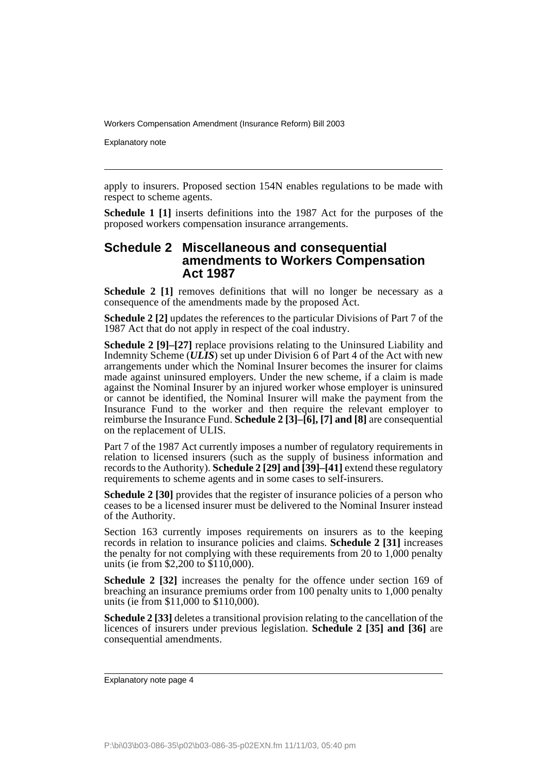Explanatory note

apply to insurers. Proposed section 154N enables regulations to be made with respect to scheme agents.

**Schedule 1 [1]** inserts definitions into the 1987 Act for the purposes of the proposed workers compensation insurance arrangements.

### **Schedule 2 Miscellaneous and consequential amendments to Workers Compensation Act 1987**

**Schedule 2** [1] removes definitions that will no longer be necessary as a consequence of the amendments made by the proposed Act.

**Schedule 2 [2]** updates the references to the particular Divisions of Part 7 of the 1987 Act that do not apply in respect of the coal industry.

**Schedule 2 [9]–[27]** replace provisions relating to the Uninsured Liability and Indemnity Scheme (*ULIS*) set up under Division 6 of Part 4 of the Act with new arrangements under which the Nominal Insurer becomes the insurer for claims made against uninsured employers. Under the new scheme, if a claim is made against the Nominal Insurer by an injured worker whose employer is uninsured or cannot be identified, the Nominal Insurer will make the payment from the Insurance Fund to the worker and then require the relevant employer to reimburse the Insurance Fund. **Schedule 2 [3]–[6], [7] and [8]** are consequential on the replacement of ULIS.

Part 7 of the 1987 Act currently imposes a number of regulatory requirements in relation to licensed insurers (such as the supply of business information and records to the Authority). **Schedule 2 [29] and [39]–[41]** extend these regulatory requirements to scheme agents and in some cases to self-insurers.

**Schedule 2 [30]** provides that the register of insurance policies of a person who ceases to be a licensed insurer must be delivered to the Nominal Insurer instead of the Authority.

Section 163 currently imposes requirements on insurers as to the keeping records in relation to insurance policies and claims. **Schedule 2 [31]** increases the penalty for not complying with these requirements from 20 to 1,000 penalty units (ie from \$2,200 to \$110,000).

**Schedule 2 [32]** increases the penalty for the offence under section 169 of breaching an insurance premiums order from 100 penalty units to 1,000 penalty units (ie from \$11,000 to \$110,000).

**Schedule 2 [33]** deletes a transitional provision relating to the cancellation of the licences of insurers under previous legislation. **Schedule 2 [35] and [36]** are consequential amendments.

Explanatory note page 4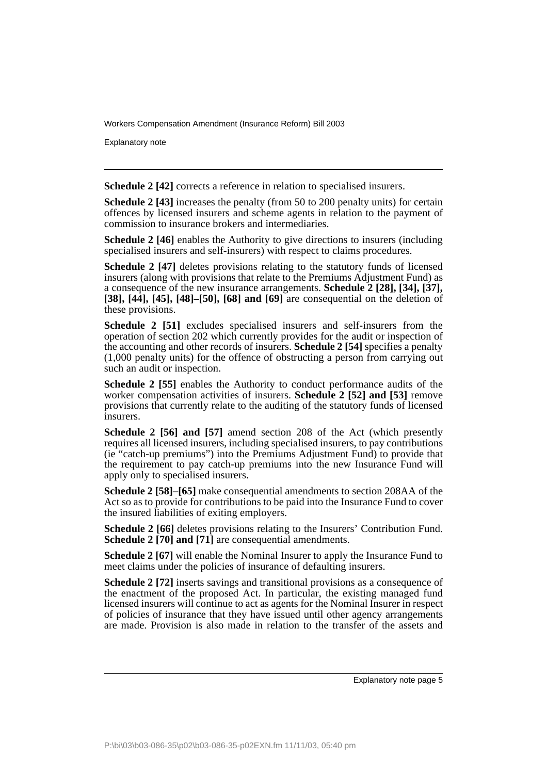Explanatory note

**Schedule 2 [42]** corrects a reference in relation to specialised insurers.

**Schedule 2 [43]** increases the penalty (from 50 to 200 penalty units) for certain offences by licensed insurers and scheme agents in relation to the payment of commission to insurance brokers and intermediaries.

**Schedule 2 [46]** enables the Authority to give directions to insurers (including specialised insurers and self-insurers) with respect to claims procedures.

**Schedule 2 [47]** deletes provisions relating to the statutory funds of licensed insurers (along with provisions that relate to the Premiums Adjustment Fund) as a consequence of the new insurance arrangements. **Schedule 2 [28], [34], [37], [38], [44], [45], [48]–[50], [68] and [69]** are consequential on the deletion of these provisions.

**Schedule 2 [51]** excludes specialised insurers and self-insurers from the operation of section 202 which currently provides for the audit or inspection of the accounting and other records of insurers. **Schedule 2 [54]** specifies a penalty (1,000 penalty units) for the offence of obstructing a person from carrying out such an audit or inspection.

**Schedule 2 [55]** enables the Authority to conduct performance audits of the worker compensation activities of insurers. **Schedule 2 [52] and [53]** remove provisions that currently relate to the auditing of the statutory funds of licensed insurers.

**Schedule 2 [56] and [57]** amend section 208 of the Act (which presently requires all licensed insurers, including specialised insurers, to pay contributions (ie "catch-up premiums") into the Premiums Adjustment Fund) to provide that the requirement to pay catch-up premiums into the new Insurance Fund will apply only to specialised insurers.

**Schedule 2 [58]–[65]** make consequential amendments to section 208AA of the Act so as to provide for contributions to be paid into the Insurance Fund to cover the insured liabilities of exiting employers.

**Schedule 2 [66]** deletes provisions relating to the Insurers' Contribution Fund. **Schedule 2 [70] and [71]** are consequential amendments.

**Schedule 2 [67]** will enable the Nominal Insurer to apply the Insurance Fund to meet claims under the policies of insurance of defaulting insurers.

**Schedule 2 [72]** inserts savings and transitional provisions as a consequence of the enactment of the proposed Act. In particular, the existing managed fund licensed insurers will continue to act as agents for the Nominal Insurer in respect of policies of insurance that they have issued until other agency arrangements are made. Provision is also made in relation to the transfer of the assets and

Explanatory note page 5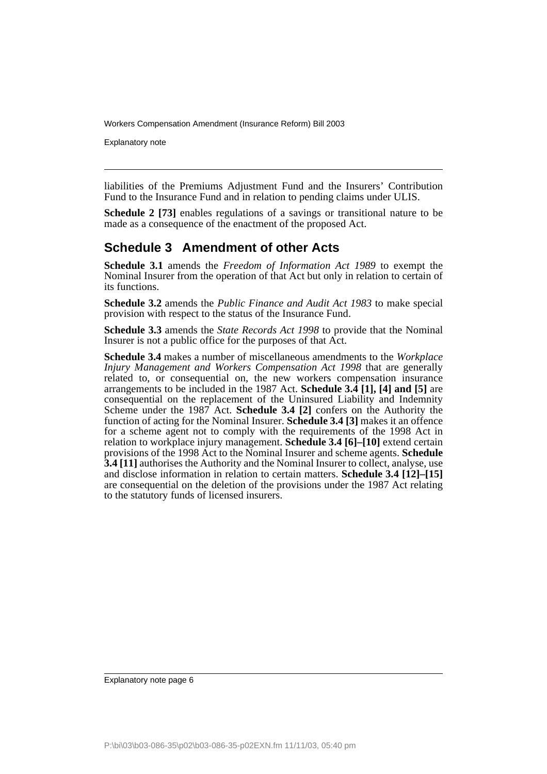Explanatory note

liabilities of the Premiums Adjustment Fund and the Insurers' Contribution Fund to the Insurance Fund and in relation to pending claims under ULIS.

**Schedule 2 [73]** enables regulations of a savings or transitional nature to be made as a consequence of the enactment of the proposed Act.

### **Schedule 3 Amendment of other Acts**

**Schedule 3.1** amends the *Freedom of Information Act 1989* to exempt the Nominal Insurer from the operation of that Act but only in relation to certain of its functions.

**Schedule 3.2** amends the *Public Finance and Audit Act 1983* to make special provision with respect to the status of the Insurance Fund.

**Schedule 3.3** amends the *State Records Act 1998* to provide that the Nominal Insurer is not a public office for the purposes of that Act.

**Schedule 3.4** makes a number of miscellaneous amendments to the *Workplace Injury Management and Workers Compensation Act 1998* that are generally related to, or consequential on, the new workers compensation insurance arrangements to be included in the 1987 Act. **Schedule 3.4 [1], [4] and [5]** are consequential on the replacement of the Uninsured Liability and Indemnity Scheme under the 1987 Act. **Schedule 3.4 [2]** confers on the Authority the function of acting for the Nominal Insurer. **Schedule 3.4 [3]** makes it an offence for a scheme agent not to comply with the requirements of the 1998 Act in relation to workplace injury management. **Schedule 3.4 [6]–[10]** extend certain provisions of the 1998 Act to the Nominal Insurer and scheme agents. **Schedule 3.4 [11]** authorises the Authority and the Nominal Insurer to collect, analyse, use and disclose information in relation to certain matters. **Schedule 3.4 [12]–[15]** are consequential on the deletion of the provisions under the 1987 Act relating to the statutory funds of licensed insurers.

Explanatory note page 6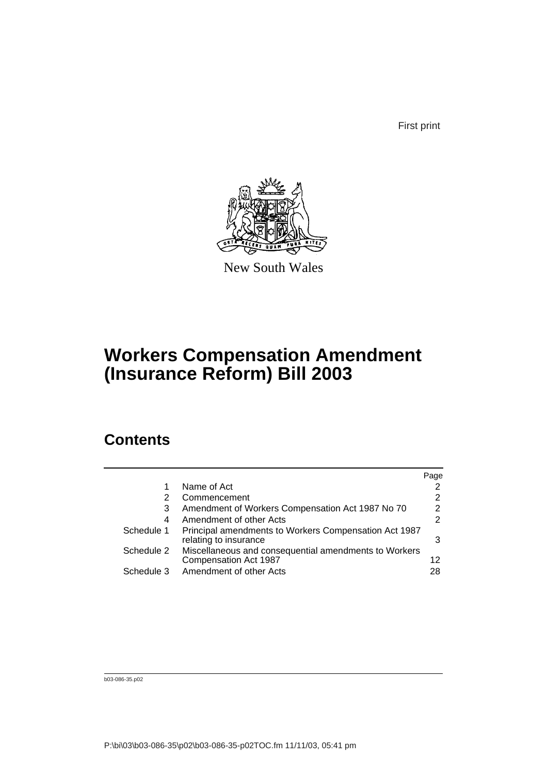First print



New South Wales

# **Workers Compensation Amendment (Insurance Reform) Bill 2003**

# **Contents**

|            |                                                                                | Page           |
|------------|--------------------------------------------------------------------------------|----------------|
|            | Name of Act                                                                    | $\overline{2}$ |
|            | Commencement                                                                   | 2              |
| 3          | Amendment of Workers Compensation Act 1987 No 70                               | 2              |
| 4          | Amendment of other Acts                                                        | 2              |
| Schedule 1 | Principal amendments to Workers Compensation Act 1987<br>relating to insurance | 3              |
| Schedule 2 | Miscellaneous and consequential amendments to Workers<br>Compensation Act 1987 | 12             |
| Schedule 3 | Amendment of other Acts                                                        | 28             |

b03-086-35.p02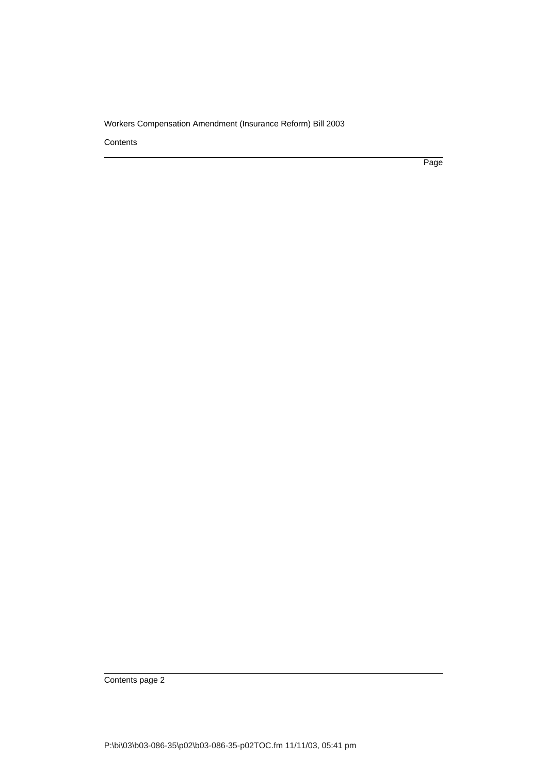**Contents** 

Page

Contents page 2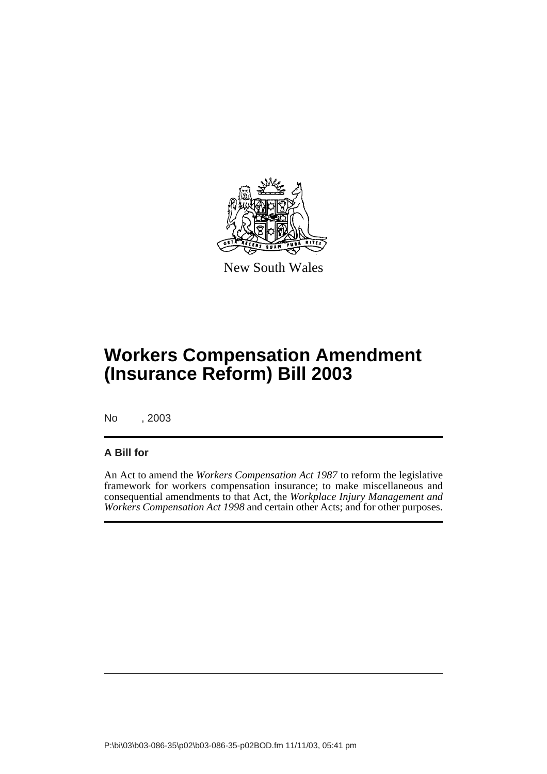

New South Wales

# **Workers Compensation Amendment (Insurance Reform) Bill 2003**

No , 2003

### **A Bill for**

An Act to amend the *Workers Compensation Act 1987* to reform the legislative framework for workers compensation insurance; to make miscellaneous and consequential amendments to that Act, the *Workplace Injury Management and Workers Compensation Act 1998* and certain other Acts; and for other purposes.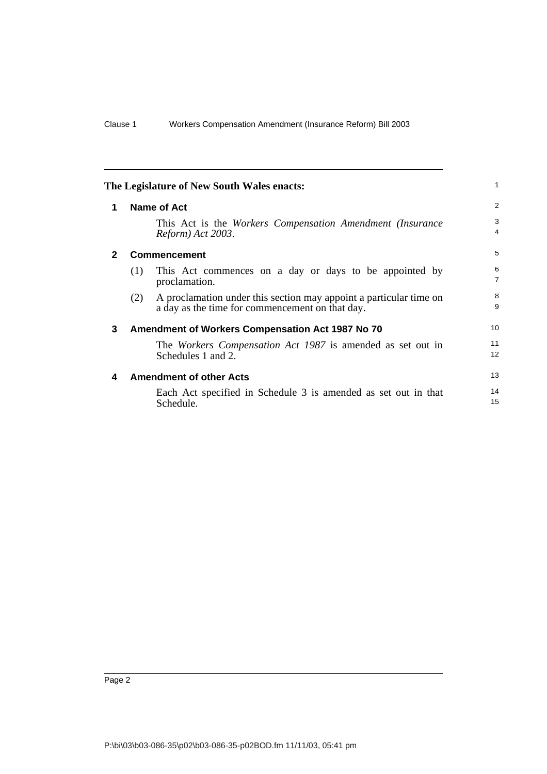<span id="page-9-3"></span><span id="page-9-2"></span><span id="page-9-1"></span><span id="page-9-0"></span>

|   |             | The Legislature of New South Wales enacts:                                                                            | 1                   |
|---|-------------|-----------------------------------------------------------------------------------------------------------------------|---------------------|
| 1 | Name of Act |                                                                                                                       |                     |
|   |             | This Act is the Workers Compensation Amendment (Insurance<br>Reform) Act 2003.                                        | 3<br>4              |
| 2 |             | <b>Commencement</b>                                                                                                   | 5                   |
|   | (1)         | This Act commences on a day or days to be appointed by<br>proclamation.                                               | 6<br>$\overline{7}$ |
|   | (2)         | A proclamation under this section may appoint a particular time on<br>a day as the time for commencement on that day. | 8<br>9              |
| 3 |             | Amendment of Workers Compensation Act 1987 No 70                                                                      | 10 <sup>1</sup>     |
|   |             | The Workers Compensation Act 1987 is amended as set out in<br>Schedules 1 and 2.                                      | 11<br>12            |
| 4 |             | <b>Amendment of other Acts</b>                                                                                        | 13                  |
|   |             | Each Act specified in Schedule 3 is amended as set out in that<br>Schedule.                                           | 14<br>15            |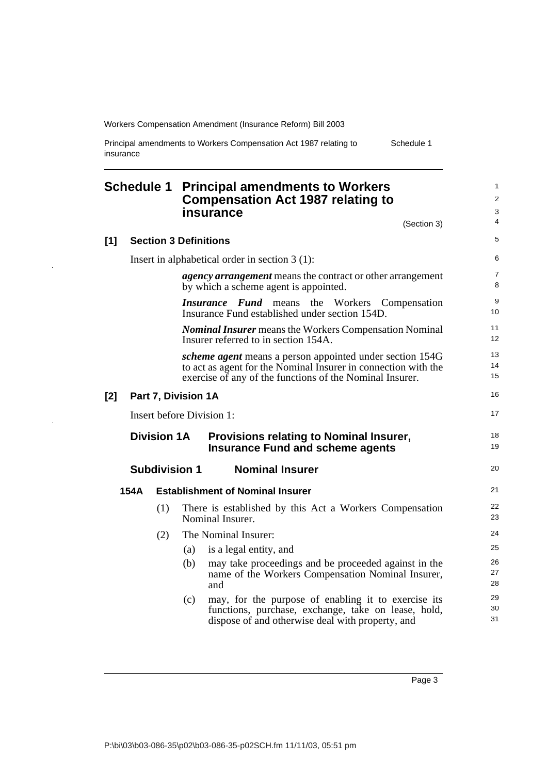Principal amendments to Workers Compensation Act 1987 relating to insurance

### <span id="page-10-0"></span>**Schedule 1 Principal amendments to Workers Compensation Act 1987 relating to insurance**

1 2 3

Schedule 1

|      |     |     | (Section 3)                                                                                                      | 4                                                                                                                                                                                                                                                                                                                                                                                                                                                                                                                                                                                                                                                                                        |
|------|-----|-----|------------------------------------------------------------------------------------------------------------------|------------------------------------------------------------------------------------------------------------------------------------------------------------------------------------------------------------------------------------------------------------------------------------------------------------------------------------------------------------------------------------------------------------------------------------------------------------------------------------------------------------------------------------------------------------------------------------------------------------------------------------------------------------------------------------------|
|      |     |     |                                                                                                                  | $\sqrt{5}$                                                                                                                                                                                                                                                                                                                                                                                                                                                                                                                                                                                                                                                                               |
|      |     |     |                                                                                                                  | 6                                                                                                                                                                                                                                                                                                                                                                                                                                                                                                                                                                                                                                                                                        |
|      |     |     |                                                                                                                  | 7<br>8                                                                                                                                                                                                                                                                                                                                                                                                                                                                                                                                                                                                                                                                                   |
|      |     |     | the Workers Compensation                                                                                         | 9<br>10                                                                                                                                                                                                                                                                                                                                                                                                                                                                                                                                                                                                                                                                                  |
|      |     |     |                                                                                                                  | 11<br>12                                                                                                                                                                                                                                                                                                                                                                                                                                                                                                                                                                                                                                                                                 |
|      |     |     |                                                                                                                  | 13<br>14<br>15                                                                                                                                                                                                                                                                                                                                                                                                                                                                                                                                                                                                                                                                           |
|      |     |     |                                                                                                                  | 16                                                                                                                                                                                                                                                                                                                                                                                                                                                                                                                                                                                                                                                                                       |
|      |     |     |                                                                                                                  | 17                                                                                                                                                                                                                                                                                                                                                                                                                                                                                                                                                                                                                                                                                       |
|      |     |     | Provisions relating to Nominal Insurer,<br><b>Insurance Fund and scheme agents</b>                               | 18<br>19                                                                                                                                                                                                                                                                                                                                                                                                                                                                                                                                                                                                                                                                                 |
|      |     |     | <b>Nominal Insurer</b>                                                                                           | 20                                                                                                                                                                                                                                                                                                                                                                                                                                                                                                                                                                                                                                                                                       |
| 154A |     |     |                                                                                                                  | 21                                                                                                                                                                                                                                                                                                                                                                                                                                                                                                                                                                                                                                                                                       |
|      |     |     |                                                                                                                  |                                                                                                                                                                                                                                                                                                                                                                                                                                                                                                                                                                                                                                                                                          |
|      | (1) |     | There is established by this Act a Workers Compensation<br>Nominal Insurer.                                      | 22                                                                                                                                                                                                                                                                                                                                                                                                                                                                                                                                                                                                                                                                                       |
|      | (2) |     | The Nominal Insurer:                                                                                             | 23<br>24                                                                                                                                                                                                                                                                                                                                                                                                                                                                                                                                                                                                                                                                                 |
|      |     | (a) | is a legal entity, and                                                                                           | 25                                                                                                                                                                                                                                                                                                                                                                                                                                                                                                                                                                                                                                                                                       |
|      |     | (b) | may take proceedings and be proceeded against in the<br>name of the Workers Compensation Nominal Insurer,<br>and | 26<br>27<br>28                                                                                                                                                                                                                                                                                                                                                                                                                                                                                                                                                                                                                                                                           |
|      |     |     | <b>Division 1A</b><br><b>Subdivision 1</b>                                                                       | <b>Section 3 Definitions</b><br>Insert in alphabetical order in section $3(1)$ :<br><i>agency arrangement</i> means the contract or other arrangement<br>by which a scheme agent is appointed.<br><i>Insurance Fund</i> means<br>Insurance Fund established under section 154D.<br><b>Nominal Insurer</b> means the Workers Compensation Nominal<br>Insurer referred to in section 154A.<br><i>scheme agent</i> means a person appointed under section 154G<br>to act as agent for the Nominal Insurer in connection with the<br>exercise of any of the functions of the Nominal Insurer.<br>Part 7, Division 1A<br>Insert before Division 1:<br><b>Establishment of Nominal Insurer</b> |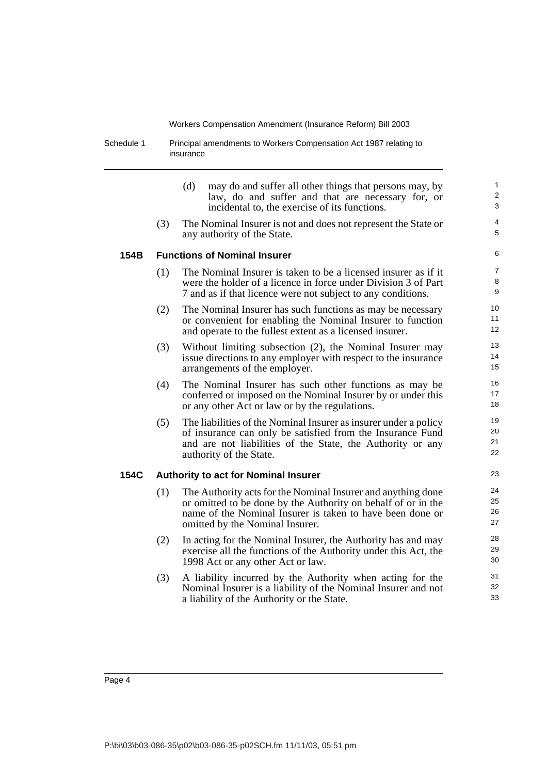Schedule 1 Principal amendments to Workers Compensation Act 1987 relating to insurance

|      |     | (d)<br>may do and suffer all other things that persons may, by<br>law, do and suffer and that are necessary for, or<br>incidental to, the exercise of its functions.                                                          | $\mathbf{1}$<br>$\boldsymbol{2}$<br>3 |
|------|-----|-------------------------------------------------------------------------------------------------------------------------------------------------------------------------------------------------------------------------------|---------------------------------------|
|      | (3) | The Nominal Insurer is not and does not represent the State or<br>any authority of the State.                                                                                                                                 | 4<br>5                                |
| 154B |     | <b>Functions of Nominal Insurer</b>                                                                                                                                                                                           | 6                                     |
|      | (1) | The Nominal Insurer is taken to be a licensed insurer as if it<br>were the holder of a licence in force under Division 3 of Part<br>7 and as if that licence were not subject to any conditions.                              | $\overline{7}$<br>8<br>9              |
|      | (2) | The Nominal Insurer has such functions as may be necessary<br>or convenient for enabling the Nominal Insurer to function<br>and operate to the fullest extent as a licensed insurer.                                          | 10<br>11<br>12                        |
|      | (3) | Without limiting subsection (2), the Nominal Insurer may<br>issue directions to any employer with respect to the insurance<br>arrangements of the employer.                                                                   | 13<br>14<br>15                        |
|      | (4) | The Nominal Insurer has such other functions as may be<br>conferred or imposed on the Nominal Insurer by or under this<br>or any other Act or law or by the regulations.                                                      | 16<br>17<br>18                        |
|      | (5) | The liabilities of the Nominal Insurer as insurer under a policy<br>of insurance can only be satisfied from the Insurance Fund<br>and are not liabilities of the State, the Authority or any<br>authority of the State.       | 19<br>20<br>21<br>22                  |
| 154C |     | <b>Authority to act for Nominal Insurer</b>                                                                                                                                                                                   | 23                                    |
|      | (1) | The Authority acts for the Nominal Insurer and anything done<br>or omitted to be done by the Authority on behalf of or in the<br>name of the Nominal Insurer is taken to have been done or<br>omitted by the Nominal Insurer. | 24<br>25<br>26<br>27                  |
|      | (2) | In acting for the Nominal Insurer, the Authority has and may<br>exercise all the functions of the Authority under this Act, the<br>1998 Act or any other Act or law.                                                          | 28<br>29<br>30                        |
|      | (3) | A liability incurred by the Authority when acting for the<br>Nominal Insurer is a liability of the Nominal Insurer and not<br>a liability of the Authority or the State.                                                      | 31<br>32<br>33                        |
|      |     |                                                                                                                                                                                                                               |                                       |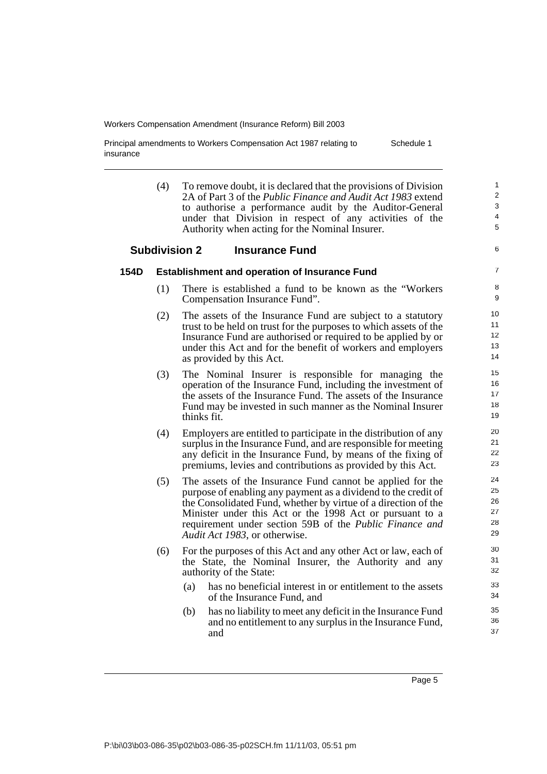Principal amendments to Workers Compensation Act 1987 relating to insurance Schedule 1

> (4) To remove doubt, it is declared that the provisions of Division 2A of Part 3 of the *Public Finance and Audit Act 1983* extend to authorise a performance audit by the Auditor-General under that Division in respect of any activities of the Authority when acting for the Nominal Insurer.

#### **Subdivision 2 Insurance Fund**

#### **154D Establishment and operation of Insurance Fund**

- (1) There is established a fund to be known as the "Workers Compensation Insurance Fund".
- (2) The assets of the Insurance Fund are subject to a statutory trust to be held on trust for the purposes to which assets of the Insurance Fund are authorised or required to be applied by or under this Act and for the benefit of workers and employers as provided by this Act.
- (3) The Nominal Insurer is responsible for managing the operation of the Insurance Fund, including the investment of the assets of the Insurance Fund. The assets of the Insurance Fund may be invested in such manner as the Nominal Insurer thinks fit.
- (4) Employers are entitled to participate in the distribution of any surplus in the Insurance Fund, and are responsible for meeting any deficit in the Insurance Fund, by means of the fixing of premiums, levies and contributions as provided by this Act.
- (5) The assets of the Insurance Fund cannot be applied for the purpose of enabling any payment as a dividend to the credit of the Consolidated Fund, whether by virtue of a direction of the Minister under this Act or the 1998 Act or pursuant to a requirement under section 59B of the *Public Finance and Audit Act 1983*, or otherwise.
- (6) For the purposes of this Act and any other Act or law, each of the State, the Nominal Insurer, the Authority and any authority of the State:
	- (a) has no beneficial interest in or entitlement to the assets of the Insurance Fund, and
	- (b) has no liability to meet any deficit in the Insurance Fund and no entitlement to any surplus in the Insurance Fund, and

Page 5

6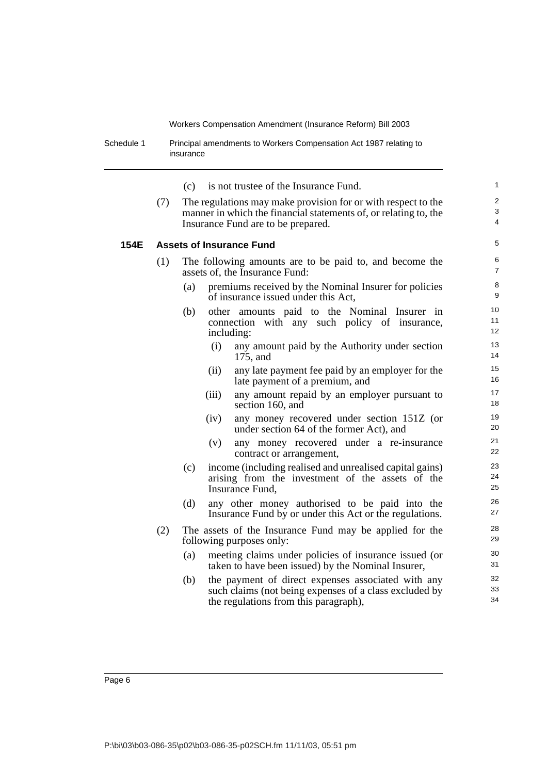Schedule 1 Principal amendments to Workers Compensation Act 1987 relating to insurance

|      |     | is not trustee of the Insurance Fund.<br>(c)                                                                       | 1                |
|------|-----|--------------------------------------------------------------------------------------------------------------------|------------------|
|      | (7) | The regulations may make provision for or with respect to the                                                      | $\boldsymbol{2}$ |
|      |     | manner in which the financial statements of, or relating to, the                                                   | 3<br>4           |
|      |     | Insurance Fund are to be prepared.                                                                                 |                  |
| 154E |     | <b>Assets of Insurance Fund</b>                                                                                    | 5                |
|      | (1) | The following amounts are to be paid to, and become the                                                            | 6                |
|      |     | assets of, the Insurance Fund:                                                                                     | $\overline{7}$   |
|      |     | (a)<br>premiums received by the Nominal Insurer for policies<br>of insurance issued under this Act,                | 8<br>9           |
|      |     | other amounts paid to the Nominal Insurer in<br>(b)                                                                | 10               |
|      |     | connection with any such policy of insurance,<br>including:                                                        | 11<br>12         |
|      |     | (i)<br>any amount paid by the Authority under section<br>175, and                                                  | 13<br>14         |
|      |     | any late payment fee paid by an employer for the<br>(ii)<br>late payment of a premium, and                         | 15<br>16         |
|      |     | (iii)<br>any amount repaid by an employer pursuant to                                                              | 17               |
|      |     | section 160, and                                                                                                   | 18               |
|      |     | any money recovered under section 151Z (or<br>(iv)<br>under section 64 of the former Act), and                     | 19<br>20         |
|      |     | any money recovered under a re-insurance<br>(v)<br>contract or arrangement,                                        | 21<br>22         |
|      |     | income (including realised and unrealised capital gains)<br>(c)                                                    | 23               |
|      |     | arising from the investment of the assets of the<br>Insurance Fund,                                                | 24<br>25         |
|      |     | (d)<br>any other money authorised to be paid into the                                                              | 26               |
|      |     | Insurance Fund by or under this Act or the regulations.                                                            | 27               |
|      | (2) | The assets of the Insurance Fund may be applied for the<br>following purposes only:                                | 28<br>29         |
|      |     | meeting claims under policies of insurance issued (or<br>(a)<br>taken to have been issued) by the Nominal Insurer, | 30<br>31         |
|      |     | the payment of direct expenses associated with any<br>(b)                                                          | 32               |
|      |     | such claims (not being expenses of a class excluded by                                                             | 33               |
|      |     | the regulations from this paragraph),                                                                              | 34               |
|      |     |                                                                                                                    |                  |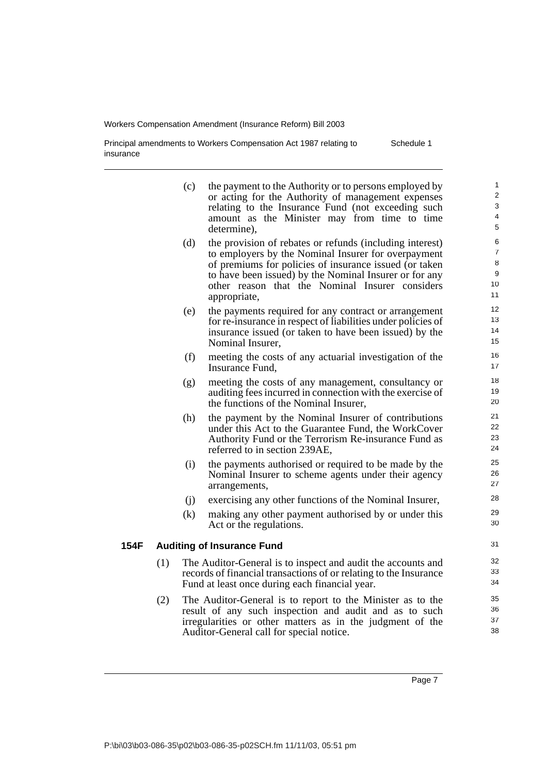Principal amendments to Workers Compensation Act 1987 relating to insurance Schedule 1

|     | (c) | the payment to the Authority or to persons employed by<br>or acting for the Authority of management expenses<br>relating to the Insurance Fund (not exceeding such<br>amount as the Minister may from time to time                                                                                     | 1<br>2<br>3<br>4                          |
|-----|-----|--------------------------------------------------------------------------------------------------------------------------------------------------------------------------------------------------------------------------------------------------------------------------------------------------------|-------------------------------------------|
|     |     | determine),                                                                                                                                                                                                                                                                                            | 5                                         |
|     | (d) | the provision of rebates or refunds (including interest)<br>to employers by the Nominal Insurer for overpayment<br>of premiums for policies of insurance issued (or taken<br>to have been issued) by the Nominal Insurer or for any<br>other reason that the Nominal Insurer considers<br>appropriate, | 6<br>$\overline{7}$<br>8<br>9<br>10<br>11 |
|     | (e) | the payments required for any contract or arrangement<br>for re-insurance in respect of liabilities under policies of<br>insurance issued (or taken to have been issued) by the<br>Nominal Insurer,                                                                                                    | 12<br>13<br>14<br>15                      |
|     | (f) | meeting the costs of any actuarial investigation of the<br>Insurance Fund,                                                                                                                                                                                                                             | 16<br>17                                  |
|     | (g) | meeting the costs of any management, consultancy or<br>auditing fees incurred in connection with the exercise of<br>the functions of the Nominal Insurer,                                                                                                                                              | 18<br>19<br>20                            |
|     | (h) | the payment by the Nominal Insurer of contributions<br>under this Act to the Guarantee Fund, the WorkCover<br>Authority Fund or the Terrorism Re-insurance Fund as<br>referred to in section 239AE,                                                                                                    | 21<br>22<br>23<br>24                      |
|     | (i) | the payments authorised or required to be made by the<br>Nominal Insurer to scheme agents under their agency<br>arrangements,                                                                                                                                                                          | 25<br>26<br>27                            |
|     | (i) | exercising any other functions of the Nominal Insurer,                                                                                                                                                                                                                                                 | 28                                        |
|     | (k) | making any other payment authorised by or under this<br>Act or the regulations.                                                                                                                                                                                                                        | 29<br>30                                  |
|     |     | <b>Auditing of Insurance Fund</b>                                                                                                                                                                                                                                                                      | 31                                        |
| (1) |     | The Auditor-General is to inspect and audit the accounts and<br>records of financial transactions of or relating to the Insurance<br>Fund at least once during each financial year.                                                                                                                    | 32<br>33<br>34                            |
| (2) |     | The Auditor-General is to report to the Minister as to the<br>result of any such inspection and audit and as to such<br>irregularities or other matters as in the judgment of the<br>Auditor-General call for special notice.                                                                          | 35<br>36<br>37<br>38                      |

Page 7

**154F**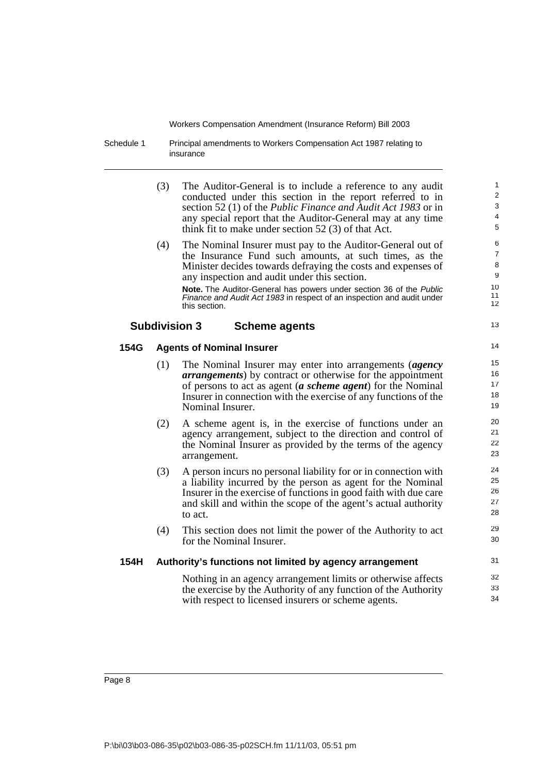Schedule 1 Principal amendments to Workers Compensation Act 1987 relating to insurance

> (3) The Auditor-General is to include a reference to any audit conducted under this section in the report referred to in section 52 (1) of the *Public Finance and Audit Act 1983* or in any special report that the Auditor-General may at any time think fit to make under section 52 (3) of that Act.

13

(4) The Nominal Insurer must pay to the Auditor-General out of the Insurance Fund such amounts, at such times, as the Minister decides towards defraying the costs and expenses of any inspection and audit under this section. **Note.** The Auditor-General has powers under section 36 of the Public Finance and Audit Act 1983 in respect of an inspection and audit under this section.

#### **Subdivision 3 Scheme agents**

#### **154G Agents of Nominal Insurer**

- (1) The Nominal Insurer may enter into arrangements (*agency arrangements*) by contract or otherwise for the appointment of persons to act as agent (*a scheme agent*) for the Nominal Insurer in connection with the exercise of any functions of the Nominal Insurer.
- (2) A scheme agent is, in the exercise of functions under an agency arrangement, subject to the direction and control of the Nominal Insurer as provided by the terms of the agency arrangement.
- (3) A person incurs no personal liability for or in connection with a liability incurred by the person as agent for the Nominal Insurer in the exercise of functions in good faith with due care and skill and within the scope of the agent's actual authority to act.
- (4) This section does not limit the power of the Authority to act for the Nominal Insurer.

#### **154H Authority's functions not limited by agency arrangement**

Nothing in an agency arrangement limits or otherwise affects the exercise by the Authority of any function of the Authority with respect to licensed insurers or scheme agents.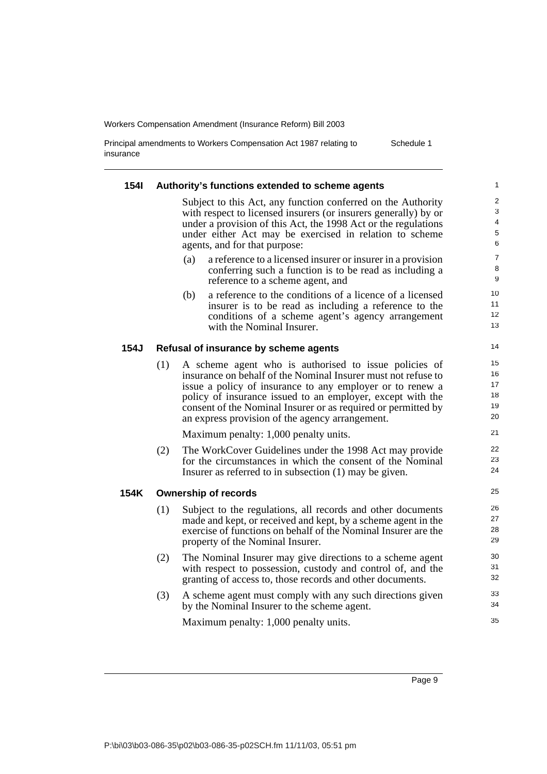Principal amendments to Workers Compensation Act 1987 relating to insurance Schedule 1

#### **154I Authority's functions extended to scheme agents** Subject to this Act, any function conferred on the Authority with respect to licensed insurers (or insurers generally) by or under a provision of this Act, the 1998 Act or the regulations under either Act may be exercised in relation to scheme agents, and for that purpose: (a) a reference to a licensed insurer or insurer in a provision conferring such a function is to be read as including a reference to a scheme agent, and (b) a reference to the conditions of a licence of a licensed insurer is to be read as including a reference to the conditions of a scheme agent's agency arrangement with the Nominal Insurer. **154J Refusal of insurance by scheme agents** (1) A scheme agent who is authorised to issue policies of insurance on behalf of the Nominal Insurer must not refuse to issue a policy of insurance to any employer or to renew a policy of insurance issued to an employer, except with the consent of the Nominal Insurer or as required or permitted by an express provision of the agency arrangement. Maximum penalty: 1,000 penalty units. (2) The WorkCover Guidelines under the 1998 Act may provide for the circumstances in which the consent of the Nominal Insurer as referred to in subsection (1) may be given. **154K Ownership of records** (1) Subject to the regulations, all records and other documents made and kept, or received and kept, by a scheme agent in the exercise of functions on behalf of the Nominal Insurer are the property of the Nominal Insurer. (2) The Nominal Insurer may give directions to a scheme agent with respect to possession, custody and control of, and the granting of access to, those records and other documents. (3) A scheme agent must comply with any such directions given by the Nominal Insurer to the scheme agent. Maximum penalty: 1,000 penalty units. 1  $\overline{2}$ 3 4 5 6 7 8 **9** 10 11 12 13 14 15 16 17 18 19 20 21 22 23 24 25 26 27 28 29 30 31 32 33 34 35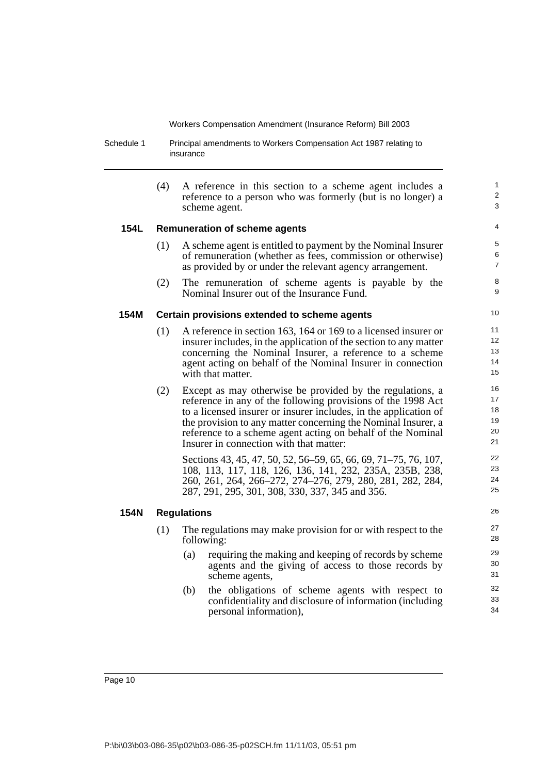Schedule 1 Principal amendments to Workers Compensation Act 1987 relating to insurance

|             | (4) | A reference in this section to a scheme agent includes a<br>reference to a person who was formerly (but is no longer) a<br>scheme agent. | 1<br>2<br>3         |
|-------------|-----|------------------------------------------------------------------------------------------------------------------------------------------|---------------------|
| <b>154L</b> |     | <b>Remuneration of scheme agents</b>                                                                                                     | 4                   |
|             | (1) | A scheme agent is entitled to payment by the Nominal Insurer                                                                             | 5                   |
|             |     | of remuneration (whether as fees, commission or otherwise)<br>as provided by or under the relevant agency arrangement.                   | 6<br>$\overline{7}$ |
|             | (2) | The remuneration of scheme agents is payable by the<br>Nominal Insurer out of the Insurance Fund.                                        | 8<br>9              |
| 154M        |     | Certain provisions extended to scheme agents                                                                                             | 10                  |
|             | (1) | A reference in section 163, 164 or 169 to a licensed insurer or                                                                          | 11                  |
|             |     | insurer includes, in the application of the section to any matter                                                                        | 12                  |
|             |     | concerning the Nominal Insurer, a reference to a scheme                                                                                  | 13                  |
|             |     | agent acting on behalf of the Nominal Insurer in connection<br>with that matter.                                                         | 14<br>15            |
|             | (2) | Except as may otherwise be provided by the regulations, a                                                                                | 16                  |
|             |     | reference in any of the following provisions of the 1998 Act                                                                             | 17                  |
|             |     | to a licensed insurer or insurer includes, in the application of                                                                         | 18<br>19            |
|             |     | the provision to any matter concerning the Nominal Insurer, a<br>reference to a scheme agent acting on behalf of the Nominal             | 20                  |
|             |     | Insurer in connection with that matter:                                                                                                  | 21                  |
|             |     | Sections 43, 45, 47, 50, 52, 56–59, 65, 66, 69, 71–75, 76, 107,                                                                          | 22                  |
|             |     | 108, 113, 117, 118, 126, 136, 141, 232, 235A, 235B, 238,                                                                                 | 23                  |
|             |     | 260, 261, 264, 266-272, 274-276, 279, 280, 281, 282, 284,<br>287, 291, 295, 301, 308, 330, 337, 345 and 356.                             | 24<br>25            |
| <b>154N</b> |     | <b>Regulations</b>                                                                                                                       | 26                  |
|             | (1) | The regulations may make provision for or with respect to the<br>following:                                                              | 27<br>28            |
|             |     | requiring the making and keeping of records by scheme<br>(a)                                                                             | 29                  |
|             |     | agents and the giving of access to those records by                                                                                      | 30                  |
|             |     | scheme agents,                                                                                                                           | 31                  |
|             |     | the obligations of scheme agents with respect to<br>(b)                                                                                  | 32                  |
|             |     | confidentiality and disclosure of information (including<br>personal information),                                                       | 33<br>34            |
|             |     |                                                                                                                                          |                     |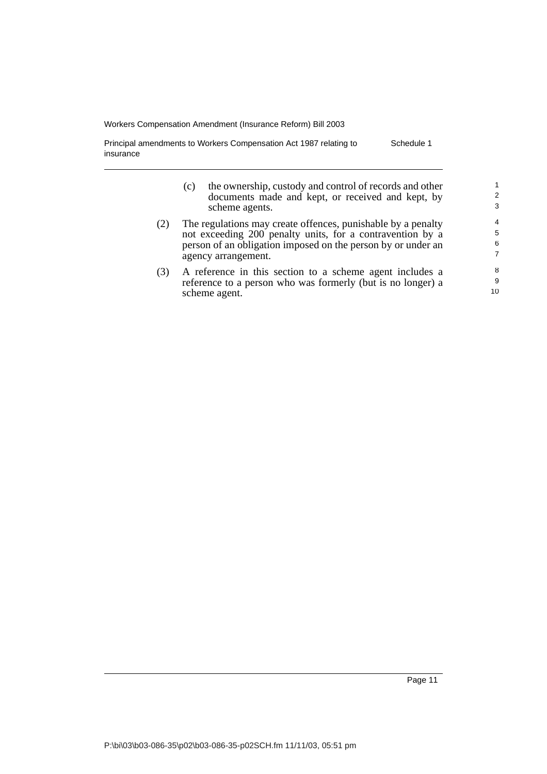| Principal amendments to Workers Compensation Act 1987 relating to | Schedule 1 |
|-------------------------------------------------------------------|------------|
| insurance                                                         |            |

|     | (c) | the ownership, custody and control of records and other      |                |
|-----|-----|--------------------------------------------------------------|----------------|
|     |     | documents made and kept, or received and kept, by            | 2              |
|     |     | scheme agents.                                               | 3              |
|     |     | The regulations may create offences, punishable by a penalty | $\overline{4}$ |
|     |     | not exceeding 200 penalty units, for a contravention by a    | 5              |
|     |     | person of an obligation imposed on the person by or under an | 6              |
|     |     | agency arrangement.                                          | $\overline{7}$ |
| (3) |     | A reference in this section to a scheme agent includes a     | 8              |
|     |     | reference to a person who was formerly (but is no longer) a  | 9              |
|     |     | scheme agent.                                                | 10             |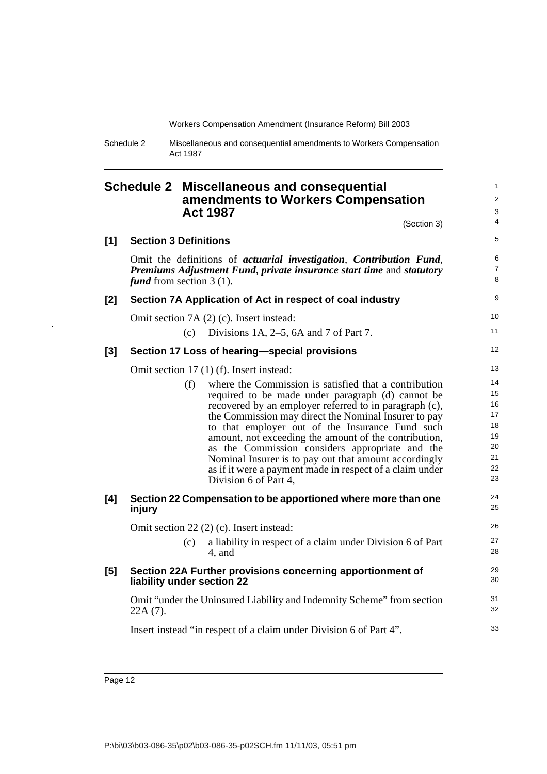1 2

Schedule 2 Miscellaneous and consequential amendments to Workers Compensation Act 1987

## <span id="page-19-0"></span>**Schedule 2 Miscellaneous and consequential amendments to Workers Compensation Act 1987**

|       | <b>Act 1987</b>                                                                                                                                                                           | 3                        |
|-------|-------------------------------------------------------------------------------------------------------------------------------------------------------------------------------------------|--------------------------|
|       | (Section 3)                                                                                                                                                                               | 4                        |
| $[1]$ | <b>Section 3 Definitions</b>                                                                                                                                                              | 5                        |
|       | Omit the definitions of <i>actuarial investigation</i> , <i>Contribution Fund</i> ,<br>Premiums Adjustment Fund, private insurance start time and statutory<br>fund from section $3(1)$ . | 6<br>$\overline{7}$<br>8 |
| $[2]$ | Section 7A Application of Act in respect of coal industry                                                                                                                                 | 9                        |
|       | Omit section 7A (2) (c). Insert instead:                                                                                                                                                  | 10                       |
|       | Divisions 1A, $2-5$ , 6A and 7 of Part 7.<br>(c)                                                                                                                                          | 11                       |
| $[3]$ | Section 17 Loss of hearing-special provisions                                                                                                                                             | 12                       |
|       | Omit section 17 (1) (f). Insert instead:                                                                                                                                                  | 13                       |
|       | (f)<br>where the Commission is satisfied that a contribution                                                                                                                              | 14                       |
|       | required to be made under paragraph (d) cannot be                                                                                                                                         | 15                       |
|       | recovered by an employer referred to in paragraph (c),                                                                                                                                    | 16                       |
|       | the Commission may direct the Nominal Insurer to pay                                                                                                                                      | 17<br>18                 |
|       | to that employer out of the Insurance Fund such<br>amount, not exceeding the amount of the contribution,                                                                                  | 19                       |
|       | as the Commission considers appropriate and the                                                                                                                                           | 20                       |
|       | Nominal Insurer is to pay out that amount accordingly                                                                                                                                     | 21                       |
|       | as if it were a payment made in respect of a claim under                                                                                                                                  | 22                       |
|       | Division 6 of Part 4,                                                                                                                                                                     | 23                       |
| [4]   | Section 22 Compensation to be apportioned where more than one<br>injury                                                                                                                   | 24<br>25                 |
|       | Omit section 22 (2) (c). Insert instead:                                                                                                                                                  | 26                       |
|       | a liability in respect of a claim under Division 6 of Part<br>(c)<br>4, and                                                                                                               | 27<br>28                 |
| [5]   | Section 22A Further provisions concerning apportionment of<br>liability under section 22                                                                                                  | 29<br>30                 |
|       | Omit "under the Uninsured Liability and Indemnity Scheme" from section<br>$22A(7)$ .                                                                                                      | 31<br>32                 |
|       | Insert instead "in respect of a claim under Division 6 of Part 4".                                                                                                                        | 33                       |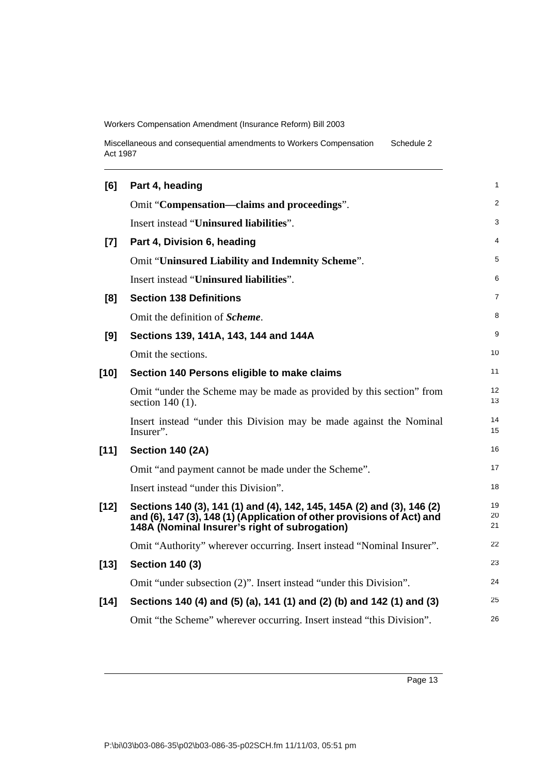| Miscellaneous and consequential amendments to Workers Compensation | Schedule 2 |
|--------------------------------------------------------------------|------------|
| Act 1987                                                           |            |

| [6]    | Part 4, heading                                                                                                                                                                                   | 1              |
|--------|---------------------------------------------------------------------------------------------------------------------------------------------------------------------------------------------------|----------------|
|        | Omit "Compensation-claims and proceedings".                                                                                                                                                       | 2              |
|        | Insert instead "Uninsured liabilities".                                                                                                                                                           | 3              |
| $[7]$  | Part 4, Division 6, heading                                                                                                                                                                       | 4              |
|        | Omit "Uninsured Liability and Indemnity Scheme".                                                                                                                                                  | 5              |
|        | Insert instead "Uninsured liabilities".                                                                                                                                                           | 6              |
| [8]    | <b>Section 138 Definitions</b>                                                                                                                                                                    | $\overline{7}$ |
|        | Omit the definition of <i>Scheme</i> .                                                                                                                                                            | 8              |
| [9]    | Sections 139, 141A, 143, 144 and 144A                                                                                                                                                             | 9              |
|        | Omit the sections.                                                                                                                                                                                | 10             |
| $[10]$ | Section 140 Persons eligible to make claims                                                                                                                                                       | 11             |
|        | Omit "under the Scheme may be made as provided by this section" from<br>section $140(1)$ .                                                                                                        | 12<br>13       |
|        | Insert instead "under this Division may be made against the Nominal<br>Insurer".                                                                                                                  | 14<br>15       |
| $[11]$ | <b>Section 140 (2A)</b>                                                                                                                                                                           | 16             |
|        | Omit "and payment cannot be made under the Scheme".                                                                                                                                               | 17             |
|        | Insert instead "under this Division".                                                                                                                                                             | 18             |
| $[12]$ | Sections 140 (3), 141 (1) and (4), 142, 145, 145A (2) and (3), 146 (2)<br>and (6), 147 (3), 148 (1) (Application of other provisions of Act) and<br>148A (Nominal Insurer's right of subrogation) | 19<br>20<br>21 |
|        | Omit "Authority" wherever occurring. Insert instead "Nominal Insurer".                                                                                                                            | 22             |
| $[13]$ | <b>Section 140 (3)</b>                                                                                                                                                                            | 23             |
|        | Omit "under subsection (2)". Insert instead "under this Division".                                                                                                                                | 24             |
| $[14]$ | Sections 140 (4) and (5) (a), 141 (1) and (2) (b) and 142 (1) and (3)                                                                                                                             | 25             |
|        | Omit "the Scheme" wherever occurring. Insert instead "this Division".                                                                                                                             | 26             |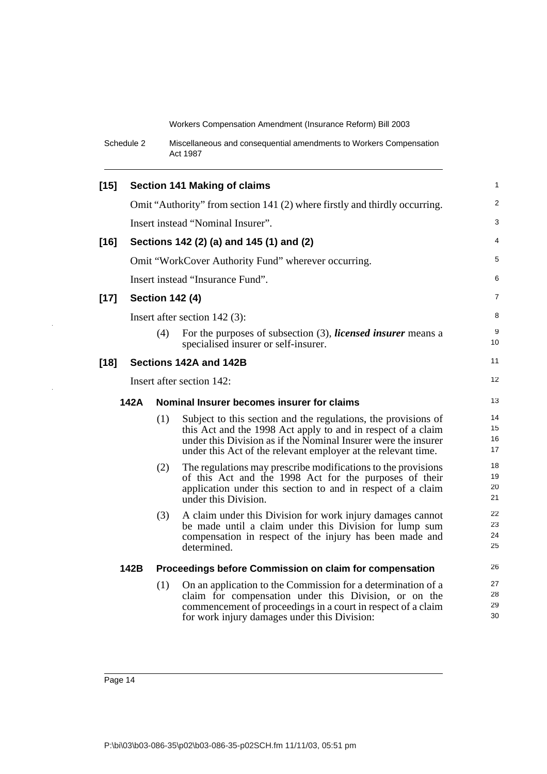Schedule 2 Miscellaneous and consequential amendments to Workers Compensation Act 1987

| $[15]$ |      |     | Section 141 Making of claims                                                                                                                                                                                                                                      | $\mathbf{1}$         |
|--------|------|-----|-------------------------------------------------------------------------------------------------------------------------------------------------------------------------------------------------------------------------------------------------------------------|----------------------|
|        |      |     | Omit "Authority" from section 141 (2) where firstly and thirdly occurring.                                                                                                                                                                                        | 2                    |
|        |      |     | Insert instead "Nominal Insurer".                                                                                                                                                                                                                                 | 3                    |
| $[16]$ |      |     | Sections 142 (2) (a) and 145 (1) and (2)                                                                                                                                                                                                                          | 4                    |
|        |      |     | Omit "WorkCover Authority Fund" wherever occurring.                                                                                                                                                                                                               | 5                    |
|        |      |     | Insert instead "Insurance Fund".                                                                                                                                                                                                                                  | 6                    |
| $[17]$ |      |     | <b>Section 142 (4)</b>                                                                                                                                                                                                                                            | $\overline{7}$       |
|        |      |     | Insert after section $142$ (3):                                                                                                                                                                                                                                   | 8                    |
|        |      | (4) | For the purposes of subsection $(3)$ , <i>licensed insurer</i> means a<br>specialised insurer or self-insurer.                                                                                                                                                    | 9<br>10              |
| $[18]$ |      |     | Sections 142A and 142B                                                                                                                                                                                                                                            | 11                   |
|        |      |     | Insert after section 142:                                                                                                                                                                                                                                         | 12                   |
|        | 142A |     | Nominal Insurer becomes insurer for claims                                                                                                                                                                                                                        | 13                   |
|        |      | (1) | Subject to this section and the regulations, the provisions of<br>this Act and the 1998 Act apply to and in respect of a claim<br>under this Division as if the Nominal Insurer were the insurer<br>under this Act of the relevant employer at the relevant time. | 14<br>15<br>16<br>17 |
|        |      | (2) | The regulations may prescribe modifications to the provisions<br>of this Act and the 1998 Act for the purposes of their<br>application under this section to and in respect of a claim<br>under this Division.                                                    | 18<br>19<br>20<br>21 |
|        |      | (3) | A claim under this Division for work injury damages cannot<br>be made until a claim under this Division for lump sum<br>compensation in respect of the injury has been made and<br>determined.                                                                    | 22<br>23<br>24<br>25 |
|        | 142B |     | Proceedings before Commission on claim for compensation                                                                                                                                                                                                           | 26                   |
|        |      | (1) | On an application to the Commission for a determination of a<br>claim for compensation under this Division, or on the<br>commencement of proceedings in a court in respect of a claim<br>for work injury damages under this Division:                             | 27<br>28<br>29<br>30 |
|        |      |     |                                                                                                                                                                                                                                                                   |                      |

J.

l.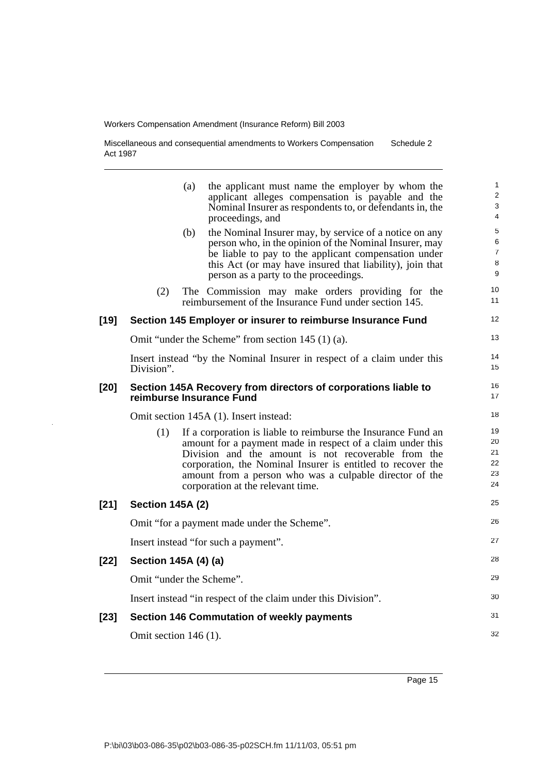Miscellaneous and consequential amendments to Workers Compensation Act 1987 Schedule 2

|      |                          | (a) | the applicant must name the employer by whom the<br>applicant alleges compensation is payable and the<br>Nominal Insurer as respondents to, or defendants in, the<br>proceedings, and                                                                                                                                                             | $\mathbf{1}$<br>$\overline{2}$<br>3<br>$\overline{\mathbf{4}}$ |
|------|--------------------------|-----|---------------------------------------------------------------------------------------------------------------------------------------------------------------------------------------------------------------------------------------------------------------------------------------------------------------------------------------------------|----------------------------------------------------------------|
|      |                          | (b) | the Nominal Insurer may, by service of a notice on any<br>person who, in the opinion of the Nominal Insurer, may<br>be liable to pay to the applicant compensation under<br>this Act (or may have insured that liability), join that<br>person as a party to the proceedings.                                                                     | 5<br>6<br>$\overline{7}$<br>8<br>9                             |
|      | (2)                      |     | The Commission may make orders providing for the<br>reimbursement of the Insurance Fund under section 145.                                                                                                                                                                                                                                        | 10<br>11                                                       |
| [19] |                          |     | Section 145 Employer or insurer to reimburse Insurance Fund                                                                                                                                                                                                                                                                                       | 12                                                             |
|      |                          |     | Omit "under the Scheme" from section 145 (1) (a).                                                                                                                                                                                                                                                                                                 | 13                                                             |
|      | Division".               |     | Insert instead "by the Nominal Insurer in respect of a claim under this                                                                                                                                                                                                                                                                           | 14<br>15                                                       |
| [20] |                          |     | Section 145A Recovery from directors of corporations liable to<br>reimburse Insurance Fund                                                                                                                                                                                                                                                        | 16<br>17                                                       |
|      |                          |     | Omit section 145A (1). Insert instead:                                                                                                                                                                                                                                                                                                            | 18                                                             |
|      | (1)                      |     | If a corporation is liable to reimburse the Insurance Fund an<br>amount for a payment made in respect of a claim under this<br>Division and the amount is not recoverable from the<br>corporation, the Nominal Insurer is entitled to recover the<br>amount from a person who was a culpable director of the<br>corporation at the relevant time. | 19<br>20<br>21<br>22<br>23<br>24                               |
| [21] | <b>Section 145A (2)</b>  |     |                                                                                                                                                                                                                                                                                                                                                   | 25                                                             |
|      |                          |     | Omit "for a payment made under the Scheme".                                                                                                                                                                                                                                                                                                       | 26                                                             |
|      |                          |     | Insert instead "for such a payment".                                                                                                                                                                                                                                                                                                              | 27                                                             |
| [22] | Section 145A (4) (a)     |     |                                                                                                                                                                                                                                                                                                                                                   | 28                                                             |
|      | Omit "under the Scheme". |     |                                                                                                                                                                                                                                                                                                                                                   | 29                                                             |
|      |                          |     | Insert instead "in respect of the claim under this Division".                                                                                                                                                                                                                                                                                     | 30                                                             |
| [23] |                          |     | <b>Section 146 Commutation of weekly payments</b>                                                                                                                                                                                                                                                                                                 | 31                                                             |
|      | Omit section $146(1)$ .  |     |                                                                                                                                                                                                                                                                                                                                                   | 32                                                             |
|      |                          |     |                                                                                                                                                                                                                                                                                                                                                   |                                                                |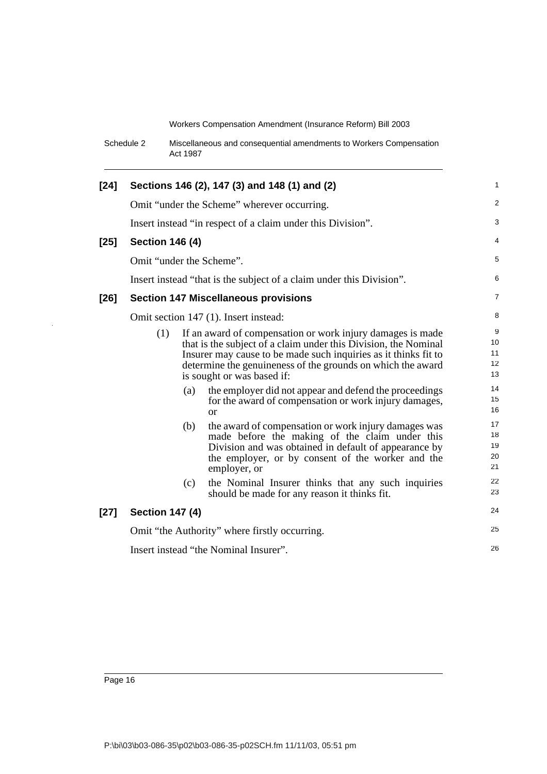Schedule 2 Miscellaneous and consequential amendments to Workers Compensation Act 1987

| $[24]$ | Sections 146 (2), 147 (3) and 148 (1) and (2)                                                                                                                                                                                                                                                        | $\mathbf{1}$               |
|--------|------------------------------------------------------------------------------------------------------------------------------------------------------------------------------------------------------------------------------------------------------------------------------------------------------|----------------------------|
|        | Omit "under the Scheme" wherever occurring.                                                                                                                                                                                                                                                          | 2                          |
|        | Insert instead "in respect of a claim under this Division".                                                                                                                                                                                                                                          | 3                          |
| $[25]$ | <b>Section 146 (4)</b>                                                                                                                                                                                                                                                                               | 4                          |
|        | Omit "under the Scheme".                                                                                                                                                                                                                                                                             | 5                          |
|        | Insert instead "that is the subject of a claim under this Division".                                                                                                                                                                                                                                 | 6                          |
| $[26]$ | <b>Section 147 Miscellaneous provisions</b>                                                                                                                                                                                                                                                          | $\overline{7}$             |
|        | Omit section 147 (1). Insert instead:                                                                                                                                                                                                                                                                | 8                          |
|        | (1)<br>If an award of compensation or work injury damages is made<br>that is the subject of a claim under this Division, the Nominal<br>Insurer may cause to be made such inquiries as it thinks fit to<br>determine the genuineness of the grounds on which the award<br>is sought or was based if: | 9<br>10<br>11<br>12<br>13  |
|        | the employer did not appear and defend the proceedings<br>(a)<br>for the award of compensation or work injury damages,<br><b>or</b>                                                                                                                                                                  | 14<br>15<br>16             |
|        | the award of compensation or work injury damages was<br>(b)<br>made before the making of the claim under this<br>Division and was obtained in default of appearance by<br>the employer, or by consent of the worker and the<br>employer, or                                                          | 17<br>18<br>19<br>20<br>21 |
|        | the Nominal Insurer thinks that any such inquiries<br>(c)<br>should be made for any reason it thinks fit.                                                                                                                                                                                            | 22<br>23                   |
| $[27]$ | <b>Section 147 (4)</b>                                                                                                                                                                                                                                                                               | 24                         |
|        | Omit "the Authority" where firstly occurring.                                                                                                                                                                                                                                                        | 25                         |
|        | Insert instead "the Nominal Insurer".                                                                                                                                                                                                                                                                | 26                         |

J.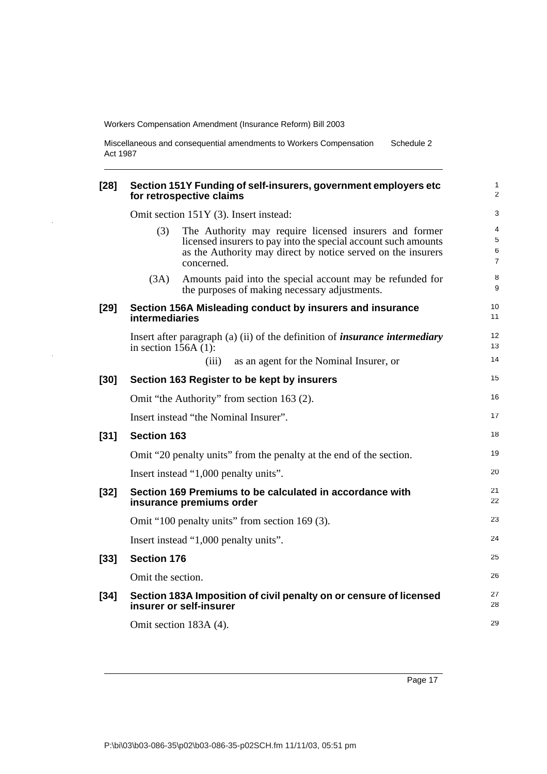i.

Miscellaneous and consequential amendments to Workers Compensation Act 1987 Schedule 2

| $[28]$ |                        | Section 151Y Funding of self-insurers, government employers etc<br>for retrospective claims                                                                                                            | 1<br>$\overline{2}$           |
|--------|------------------------|--------------------------------------------------------------------------------------------------------------------------------------------------------------------------------------------------------|-------------------------------|
|        |                        | Omit section 151Y (3). Insert instead:                                                                                                                                                                 | 3                             |
|        | (3)                    | The Authority may require licensed insurers and former<br>licensed insurers to pay into the special account such amounts<br>as the Authority may direct by notice served on the insurers<br>concerned. | 4<br>5<br>6<br>$\overline{7}$ |
|        | (3A)                   | Amounts paid into the special account may be refunded for<br>the purposes of making necessary adjustments.                                                                                             | 8<br>9                        |
| $[29]$ | <b>intermediaries</b>  | Section 156A Misleading conduct by insurers and insurance                                                                                                                                              | 10<br>11                      |
|        | in section $156A(1)$ : | Insert after paragraph (a) (ii) of the definition of <i>insurance intermediary</i>                                                                                                                     | 12<br>13                      |
|        |                        | as an agent for the Nominal Insurer, or<br>(iii)                                                                                                                                                       | 14                            |
| $[30]$ |                        | Section 163 Register to be kept by insurers                                                                                                                                                            | 15                            |
|        |                        | Omit "the Authority" from section 163 (2).                                                                                                                                                             | 16                            |
|        |                        | Insert instead "the Nominal Insurer".                                                                                                                                                                  | 17                            |
| $[31]$ | <b>Section 163</b>     |                                                                                                                                                                                                        | 18                            |
|        |                        | Omit "20 penalty units" from the penalty at the end of the section.                                                                                                                                    | 19                            |
|        |                        | Insert instead "1,000 penalty units".                                                                                                                                                                  | 20                            |
| $[32]$ |                        | Section 169 Premiums to be calculated in accordance with<br>insurance premiums order                                                                                                                   | 21<br>22                      |
|        |                        | Omit "100 penalty units" from section 169 (3).                                                                                                                                                         | 23                            |
|        |                        | Insert instead "1,000 penalty units".                                                                                                                                                                  | 24                            |
| $[33]$ | <b>Section 176</b>     |                                                                                                                                                                                                        | 25                            |
|        | Omit the section.      |                                                                                                                                                                                                        | 26                            |
| $[34]$ |                        | Section 183A Imposition of civil penalty on or censure of licensed<br>insurer or self-insurer                                                                                                          | 27<br>28                      |
|        |                        | Omit section 183A (4).                                                                                                                                                                                 | 29                            |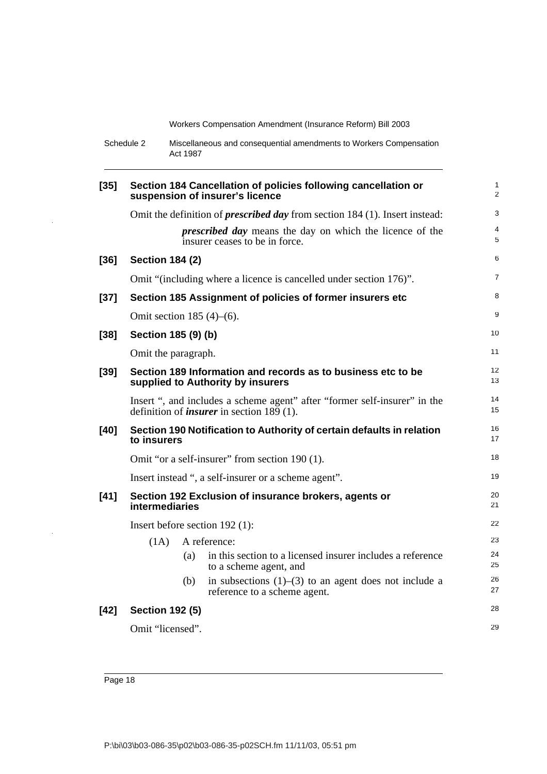| Schedule 2 | Miscellaneous and consequential amendments to Workers Compensation |
|------------|--------------------------------------------------------------------|
|            | Act 1987                                                           |
|            |                                                                    |

| $[35]$ |                                  | Section 184 Cancellation of policies following cancellation or<br>suspension of insurer's licence                               | $\mathbf{1}$<br>2   |
|--------|----------------------------------|---------------------------------------------------------------------------------------------------------------------------------|---------------------|
|        |                                  | Omit the definition of <i>prescribed day</i> from section 184 (1). Insert instead:                                              | 3                   |
|        |                                  | prescribed day means the day on which the licence of the<br>insurer ceases to be in force.                                      | $\overline{4}$<br>5 |
| $[36]$ | <b>Section 184 (2)</b>           |                                                                                                                                 | 6                   |
|        |                                  | Omit "(including where a licence is cancelled under section 176)".                                                              | $\overline{7}$      |
| $[37]$ |                                  | Section 185 Assignment of policies of former insurers etc                                                                       | 8                   |
|        | Omit section 185 $(4)$ – $(6)$ . |                                                                                                                                 | 9                   |
| $[38]$ | Section 185 (9) (b)              |                                                                                                                                 | 10                  |
|        | Omit the paragraph.              |                                                                                                                                 | 11                  |
| $[39]$ |                                  | Section 189 Information and records as to business etc to be<br>supplied to Authority by insurers                               | 12<br>13            |
|        |                                  | Insert ", and includes a scheme agent" after "former self-insurer" in the<br>definition of <i>insurer</i> in section $189(1)$ . | 14<br>15            |
| $[40]$ | to insurers                      | Section 190 Notification to Authority of certain defaults in relation                                                           | 16<br>17            |
|        |                                  | Omit "or a self-insurer" from section 190 (1).                                                                                  | 18                  |
|        |                                  | Insert instead ", a self-insurer or a scheme agent".                                                                            | 19                  |
| $[41]$ | <b>intermediaries</b>            | Section 192 Exclusion of insurance brokers, agents or                                                                           | 20<br>21            |
|        |                                  | Insert before section 192 (1):                                                                                                  | 22                  |
|        | (1A)                             | A reference:                                                                                                                    | 23                  |
|        |                                  | in this section to a licensed insurer includes a reference<br>(a)<br>to a scheme agent, and                                     | 24<br>25            |
|        |                                  | in subsections $(1)$ – $(3)$ to an agent does not include a<br>(b)<br>reference to a scheme agent.                              | 26<br>27            |
| [42]   | <b>Section 192 (5)</b>           |                                                                                                                                 | 28                  |
|        | Omit "licensed".                 |                                                                                                                                 | 29                  |

Page 18

 $\bar{\mathcal{A}}$ 

l,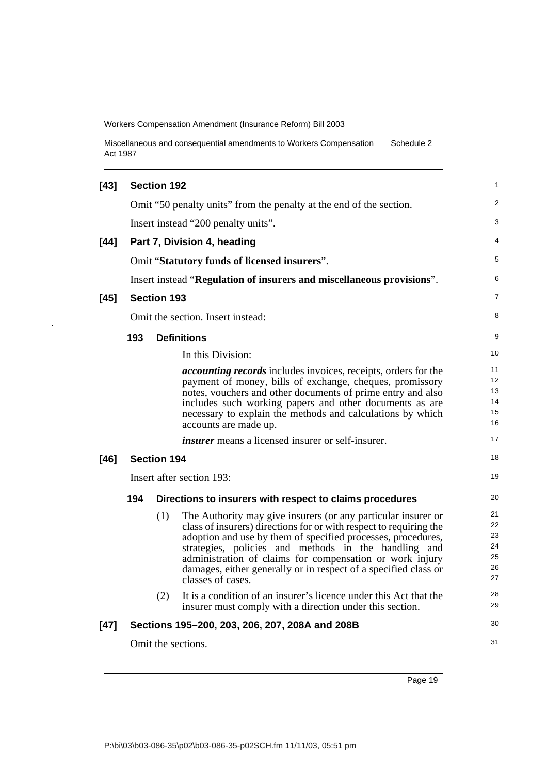J.

Miscellaneous and consequential amendments to Workers Compensation Act 1987 Schedule 2

| $[43]$ |     | <b>Section 192</b> |                                                                                                                                                                                                                                                                                                                                                                                                                 | 1                                      |
|--------|-----|--------------------|-----------------------------------------------------------------------------------------------------------------------------------------------------------------------------------------------------------------------------------------------------------------------------------------------------------------------------------------------------------------------------------------------------------------|----------------------------------------|
|        |     |                    | Omit "50 penalty units" from the penalty at the end of the section.                                                                                                                                                                                                                                                                                                                                             | $\overline{\mathbf{c}}$                |
|        |     |                    | Insert instead "200 penalty units".                                                                                                                                                                                                                                                                                                                                                                             | 3                                      |
| $[44]$ |     |                    | Part 7, Division 4, heading                                                                                                                                                                                                                                                                                                                                                                                     | 4                                      |
|        |     |                    | Omit "Statutory funds of licensed insurers".                                                                                                                                                                                                                                                                                                                                                                    | 5                                      |
|        |     |                    | Insert instead "Regulation of insurers and miscellaneous provisions".                                                                                                                                                                                                                                                                                                                                           | 6                                      |
| $[45]$ |     | <b>Section 193</b> |                                                                                                                                                                                                                                                                                                                                                                                                                 | 7                                      |
|        |     |                    | Omit the section. Insert instead:                                                                                                                                                                                                                                                                                                                                                                               | 8                                      |
|        | 193 |                    | <b>Definitions</b>                                                                                                                                                                                                                                                                                                                                                                                              | 9                                      |
|        |     |                    | In this Division:                                                                                                                                                                                                                                                                                                                                                                                               | 10                                     |
|        |     |                    | <i>accounting records</i> includes invoices, receipts, orders for the<br>payment of money, bills of exchange, cheques, promissory<br>notes, vouchers and other documents of prime entry and also<br>includes such working papers and other documents as are<br>necessary to explain the methods and calculations by which<br>accounts are made up.                                                              | 11<br>12<br>13<br>14<br>15<br>16       |
|        |     |                    | <i>insurer</i> means a licensed insurer or self-insurer.                                                                                                                                                                                                                                                                                                                                                        | 17                                     |
| $[46]$ |     | <b>Section 194</b> |                                                                                                                                                                                                                                                                                                                                                                                                                 | 18                                     |
|        |     |                    | Insert after section 193:                                                                                                                                                                                                                                                                                                                                                                                       | 19                                     |
|        | 194 |                    | Directions to insurers with respect to claims procedures                                                                                                                                                                                                                                                                                                                                                        | 20                                     |
|        |     | (1)                | The Authority may give insurers (or any particular insurer or<br>class of insurers) directions for or with respect to requiring the<br>adoption and use by them of specified processes, procedures,<br>strategies, policies and methods in the handling and<br>administration of claims for compensation or work injury<br>damages, either generally or in respect of a specified class or<br>classes of cases. | 21<br>22<br>23<br>24<br>25<br>26<br>27 |
|        |     | (2)                | It is a condition of an insurer's licence under this Act that the<br>insurer must comply with a direction under this section.                                                                                                                                                                                                                                                                                   | 28<br>29                               |
| $[47]$ |     |                    | Sections 195-200, 203, 206, 207, 208A and 208B                                                                                                                                                                                                                                                                                                                                                                  | 30                                     |
|        |     |                    | Omit the sections.                                                                                                                                                                                                                                                                                                                                                                                              | 31                                     |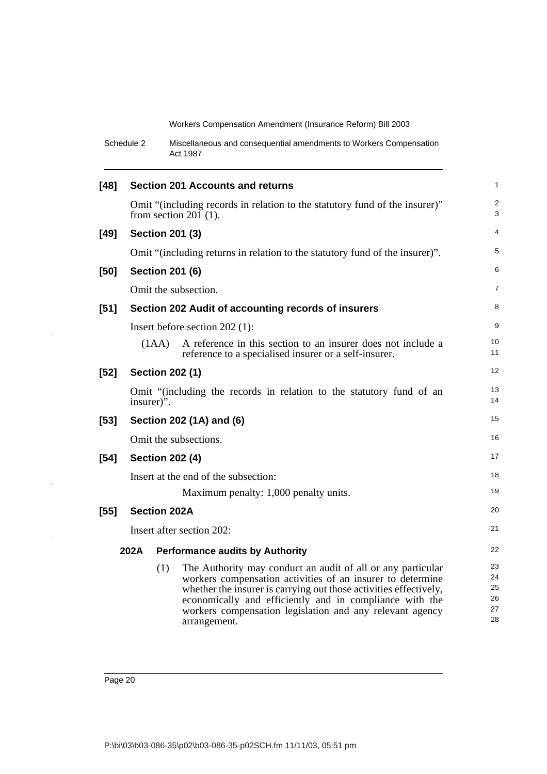Schedule 2 Miscellaneous and consequential amendments to Workers Compensation Act 1987

| $[48]$ | <b>Section 201 Accounts and returns</b>                                                                                                                                                                                                                                                                                                      | $\mathbf{1}$                     |
|--------|----------------------------------------------------------------------------------------------------------------------------------------------------------------------------------------------------------------------------------------------------------------------------------------------------------------------------------------------|----------------------------------|
|        | Omit "(including records in relation to the statutory fund of the insurer)"<br>from section $201$ (1).                                                                                                                                                                                                                                       | 2<br>3                           |
| $[49]$ | <b>Section 201 (3)</b>                                                                                                                                                                                                                                                                                                                       | 4                                |
|        | Omit "(including returns in relation to the statutory fund of the insurer)".                                                                                                                                                                                                                                                                 | 5                                |
| [50]   | <b>Section 201 (6)</b>                                                                                                                                                                                                                                                                                                                       | 6                                |
|        | Omit the subsection.                                                                                                                                                                                                                                                                                                                         | $\overline{7}$                   |
| [51]   | Section 202 Audit of accounting records of insurers                                                                                                                                                                                                                                                                                          | 8                                |
|        | Insert before section $202$ (1):                                                                                                                                                                                                                                                                                                             | 9                                |
|        | A reference in this section to an insurer does not include a<br>(1AA)<br>reference to a specialised insurer or a self-insurer.                                                                                                                                                                                                               | 10<br>11                         |
| $[52]$ | <b>Section 202 (1)</b>                                                                                                                                                                                                                                                                                                                       | 12                               |
|        | Omit "(including the records in relation to the statutory fund of an<br>insurer)".                                                                                                                                                                                                                                                           | 13<br>14                         |
| $[53]$ | Section 202 (1A) and (6)                                                                                                                                                                                                                                                                                                                     | 15                               |
|        | Omit the subsections.                                                                                                                                                                                                                                                                                                                        | 16                               |
| $[54]$ | <b>Section 202 (4)</b>                                                                                                                                                                                                                                                                                                                       | 17                               |
|        | Insert at the end of the subsection:                                                                                                                                                                                                                                                                                                         | 18                               |
|        | Maximum penalty: 1,000 penalty units.                                                                                                                                                                                                                                                                                                        | 19                               |
| $[55]$ | <b>Section 202A</b>                                                                                                                                                                                                                                                                                                                          | 20                               |
|        | Insert after section 202:                                                                                                                                                                                                                                                                                                                    | 21                               |
|        | 202A<br><b>Performance audits by Authority</b>                                                                                                                                                                                                                                                                                               | 22                               |
|        | The Authority may conduct an audit of all or any particular<br>(1)<br>workers compensation activities of an insurer to determine<br>whether the insurer is carrying out those activities effectively,<br>economically and efficiently and in compliance with the<br>workers compensation legislation and any relevant agency<br>arrangement. | 23<br>24<br>25<br>26<br>27<br>28 |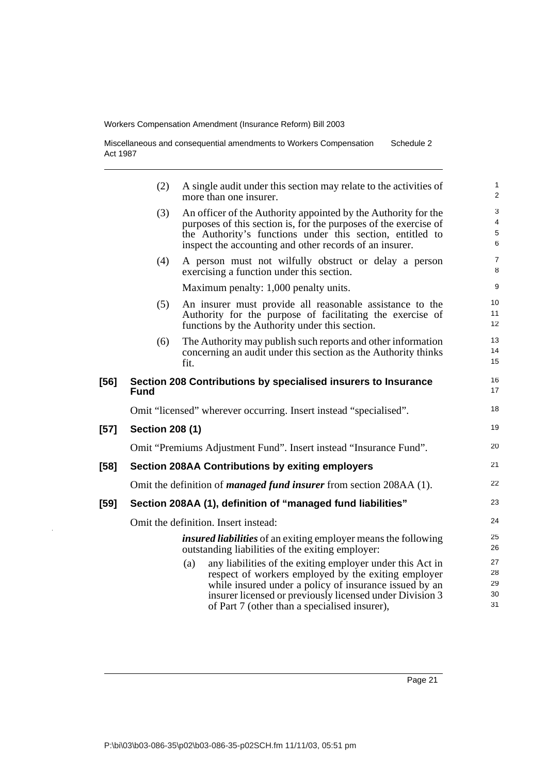Miscellaneous and consequential amendments to Workers Compensation Act 1987 Schedule 2

|        | (2)                    | A single audit under this section may relate to the activities of<br>more than one insurer.                                                                                                                                                                                                    | $\mathbf{1}$<br>2          |
|--------|------------------------|------------------------------------------------------------------------------------------------------------------------------------------------------------------------------------------------------------------------------------------------------------------------------------------------|----------------------------|
|        | (3)                    | An officer of the Authority appointed by the Authority for the<br>purposes of this section is, for the purposes of the exercise of<br>the Authority's functions under this section, entitled to<br>inspect the accounting and other records of an insurer.                                     | 3<br>4<br>$\sqrt{5}$<br>6  |
|        | (4)                    | A person must not wilfully obstruct or delay a person<br>exercising a function under this section.                                                                                                                                                                                             | $\overline{7}$<br>8        |
|        |                        | Maximum penalty: 1,000 penalty units.                                                                                                                                                                                                                                                          | 9                          |
|        | (5)                    | An insurer must provide all reasonable assistance to the<br>Authority for the purpose of facilitating the exercise of<br>functions by the Authority under this section.                                                                                                                        | 10<br>11<br>12             |
|        | (6)                    | The Authority may publish such reports and other information<br>concerning an audit under this section as the Authority thinks<br>fit.                                                                                                                                                         | 13<br>14<br>15             |
| $[56]$ | Fund                   | Section 208 Contributions by specialised insurers to Insurance                                                                                                                                                                                                                                 | 16<br>17                   |
|        |                        | Omit "licensed" wherever occurring. Insert instead "specialised".                                                                                                                                                                                                                              | 18                         |
| $[57]$ | <b>Section 208 (1)</b> |                                                                                                                                                                                                                                                                                                | 19                         |
|        |                        | Omit "Premiums Adjustment Fund". Insert instead "Insurance Fund".                                                                                                                                                                                                                              | 20                         |
| $[58]$ |                        | <b>Section 208AA Contributions by exiting employers</b>                                                                                                                                                                                                                                        | 21                         |
|        |                        | Omit the definition of <i>managed fund insurer</i> from section 208AA (1).                                                                                                                                                                                                                     | 22                         |
| $[59]$ |                        | Section 208AA (1), definition of "managed fund liabilities"                                                                                                                                                                                                                                    | 23                         |
|        |                        | Omit the definition. Insert instead:                                                                                                                                                                                                                                                           | 24                         |
|        |                        | <i>insured liabilities</i> of an exiting employer means the following<br>outstanding liabilities of the exiting employer:                                                                                                                                                                      | 25<br>26                   |
|        |                        | any liabilities of the exiting employer under this Act in<br>(a)<br>respect of workers employed by the exiting employer<br>while insured under a policy of insurance issued by an<br>insurer licensed or previously licensed under Division 3<br>of Part 7 (other than a specialised insurer), | 27<br>28<br>29<br>30<br>31 |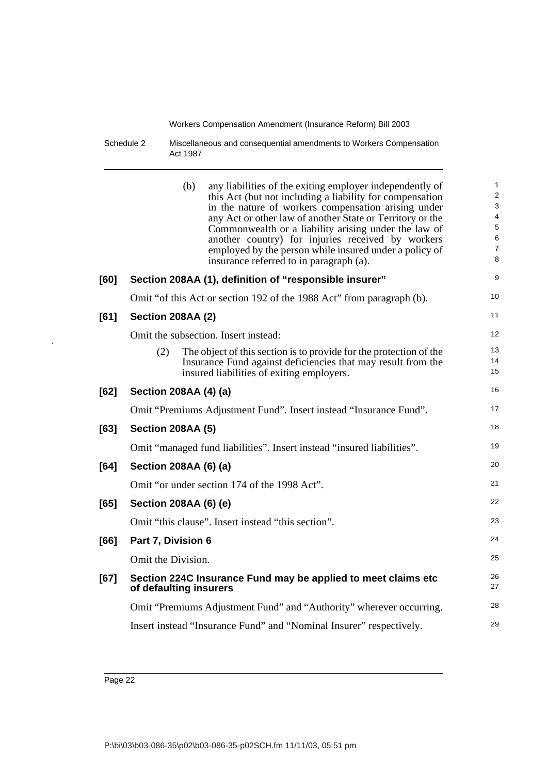Schedule 2 Miscellaneous and consequential amendments to Workers Compensation Act 1987

|      |                        | (b) | any liabilities of the exiting employer independently of<br>this Act (but not including a liability for compensation<br>in the nature of workers compensation arising under<br>any Act or other law of another State or Territory or the<br>Commonwealth or a liability arising under the law of<br>another country) for injuries received by workers<br>employed by the person while insured under a policy of<br>insurance referred to in paragraph (a). | 1<br>$\overline{\mathbf{c}}$<br>3<br>4<br>5<br>6<br>7<br>8 |
|------|------------------------|-----|------------------------------------------------------------------------------------------------------------------------------------------------------------------------------------------------------------------------------------------------------------------------------------------------------------------------------------------------------------------------------------------------------------------------------------------------------------|------------------------------------------------------------|
| [60] |                        |     | Section 208AA (1), definition of "responsible insurer"                                                                                                                                                                                                                                                                                                                                                                                                     | 9                                                          |
|      |                        |     | Omit "of this Act or section 192 of the 1988 Act" from paragraph (b).                                                                                                                                                                                                                                                                                                                                                                                      | 10                                                         |
| [61] | Section 208AA (2)      |     |                                                                                                                                                                                                                                                                                                                                                                                                                                                            | 11                                                         |
|      |                        |     | Omit the subsection. Insert instead:                                                                                                                                                                                                                                                                                                                                                                                                                       | 12                                                         |
|      | (2)                    |     | The object of this section is to provide for the protection of the<br>Insurance Fund against deficiencies that may result from the<br>insured liabilities of exiting employers.                                                                                                                                                                                                                                                                            | 13<br>14<br>15                                             |
| [62] | Section 208AA (4) (a)  |     |                                                                                                                                                                                                                                                                                                                                                                                                                                                            | 16                                                         |
|      |                        |     | Omit "Premiums Adjustment Fund". Insert instead "Insurance Fund".                                                                                                                                                                                                                                                                                                                                                                                          | 17                                                         |
| [63] | Section 208AA (5)      |     |                                                                                                                                                                                                                                                                                                                                                                                                                                                            | 18                                                         |
|      |                        |     | Omit "managed fund liabilities". Insert instead "insured liabilities".                                                                                                                                                                                                                                                                                                                                                                                     | 19                                                         |
| [64] | Section 208AA (6) (a)  |     |                                                                                                                                                                                                                                                                                                                                                                                                                                                            | 20                                                         |
|      |                        |     | Omit "or under section 174 of the 1998 Act".                                                                                                                                                                                                                                                                                                                                                                                                               | 21                                                         |
| [65] | Section 208AA (6) (e)  |     |                                                                                                                                                                                                                                                                                                                                                                                                                                                            | 22                                                         |
|      |                        |     | Omit "this clause". Insert instead "this section".                                                                                                                                                                                                                                                                                                                                                                                                         | 23                                                         |
| [66] | Part 7, Division 6     |     |                                                                                                                                                                                                                                                                                                                                                                                                                                                            | 24                                                         |
|      | Omit the Division.     |     |                                                                                                                                                                                                                                                                                                                                                                                                                                                            | 25                                                         |
| [67] | of defaulting insurers |     | Section 224C Insurance Fund may be applied to meet claims etc                                                                                                                                                                                                                                                                                                                                                                                              | 26<br>27                                                   |
|      |                        |     | Omit "Premiums Adjustment Fund" and "Authority" wherever occurring.                                                                                                                                                                                                                                                                                                                                                                                        | 28                                                         |
|      |                        |     | Insert instead "Insurance Fund" and "Nominal Insurer" respectively.                                                                                                                                                                                                                                                                                                                                                                                        | 29                                                         |
|      |                        |     |                                                                                                                                                                                                                                                                                                                                                                                                                                                            |                                                            |

Page 22

i,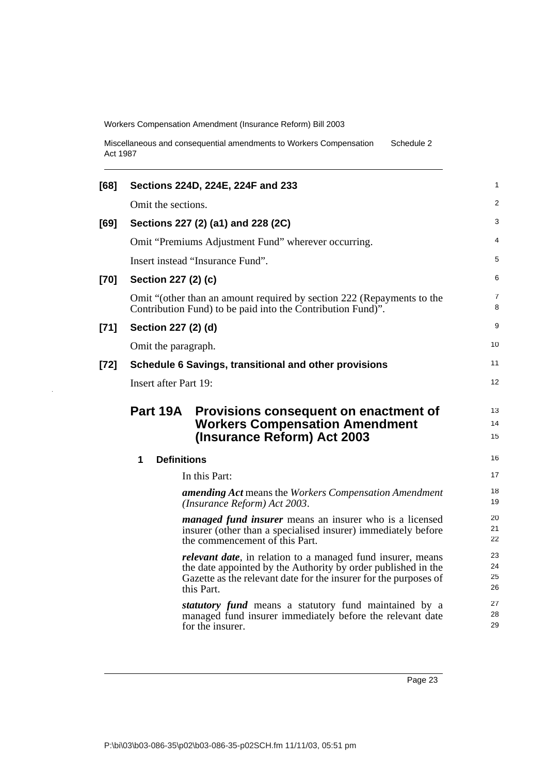Miscellaneous and consequential amendments to Workers Compensation Act 1987 Schedule 2

| [68]   | Sections 224D, 224E, 224F and 233                                                                                                                                                                                      | 1                    |
|--------|------------------------------------------------------------------------------------------------------------------------------------------------------------------------------------------------------------------------|----------------------|
|        | Omit the sections.                                                                                                                                                                                                     | 2                    |
| [69]   | Sections 227 (2) (a1) and 228 (2C)                                                                                                                                                                                     | 3                    |
|        | Omit "Premiums Adjustment Fund" wherever occurring.                                                                                                                                                                    | 4                    |
|        | Insert instead "Insurance Fund".                                                                                                                                                                                       | 5                    |
| $[70]$ | Section 227 (2) (c)                                                                                                                                                                                                    | 6                    |
|        | Omit "(other than an amount required by section 222 (Repayments to the<br>Contribution Fund) to be paid into the Contribution Fund)".                                                                                  | $\overline{7}$<br>8  |
| $[71]$ | Section 227 (2) (d)                                                                                                                                                                                                    | 9                    |
|        | Omit the paragraph.                                                                                                                                                                                                    | 10                   |
| $[72]$ | Schedule 6 Savings, transitional and other provisions                                                                                                                                                                  | 11                   |
|        | Insert after Part 19:                                                                                                                                                                                                  | 12                   |
|        | Part 19A<br>Provisions consequent on enactment of<br><b>Workers Compensation Amendment</b><br>(Insurance Reform) Act 2003                                                                                              | 13<br>14<br>15       |
|        | <b>Definitions</b><br>1                                                                                                                                                                                                | 16                   |
|        | In this Part:                                                                                                                                                                                                          | 17                   |
|        | amending Act means the Workers Compensation Amendment<br>(Insurance Reform) Act 2003.                                                                                                                                  | 18<br>19             |
|        | <i>managed fund insurer</i> means an insurer who is a licensed<br>insurer (other than a specialised insurer) immediately before<br>the commencement of this Part.                                                      | 20<br>21<br>22       |
|        | <i>relevant date</i> , in relation to a managed fund insurer, means<br>the date appointed by the Authority by order published in the<br>Gazette as the relevant date for the insurer for the purposes of<br>this Part. | 23<br>24<br>25<br>26 |
|        | <i>statutory fund</i> means a statutory fund maintained by a<br>managed fund insurer immediately before the relevant date<br>for the insurer.                                                                          | 27<br>28<br>29       |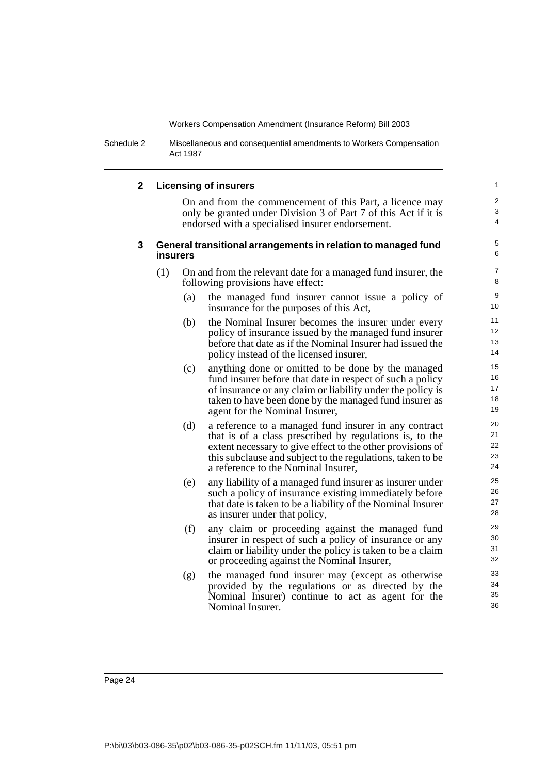Schedule 2 Miscellaneous and consequential amendments to Workers Compensation Act 1987

#### **2 Licensing of insurers**

On and from the commencement of this Part, a licence may only be granted under Division 3 of Part 7 of this Act if it is endorsed with a specialised insurer endorsement.

#### **3 General transitional arrangements in relation to managed fund insurers**

- (1) On and from the relevant date for a managed fund insurer, the following provisions have effect:
	- (a) the managed fund insurer cannot issue a policy of insurance for the purposes of this Act,
	- (b) the Nominal Insurer becomes the insurer under every policy of insurance issued by the managed fund insurer before that date as if the Nominal Insurer had issued the policy instead of the licensed insurer,
	- (c) anything done or omitted to be done by the managed fund insurer before that date in respect of such a policy of insurance or any claim or liability under the policy is taken to have been done by the managed fund insurer as agent for the Nominal Insurer,
	- (d) a reference to a managed fund insurer in any contract that is of a class prescribed by regulations is, to the extent necessary to give effect to the other provisions of this subclause and subject to the regulations, taken to be a reference to the Nominal Insurer,
	- (e) any liability of a managed fund insurer as insurer under such a policy of insurance existing immediately before that date is taken to be a liability of the Nominal Insurer as insurer under that policy,
	- (f) any claim or proceeding against the managed fund insurer in respect of such a policy of insurance or any claim or liability under the policy is taken to be a claim or proceeding against the Nominal Insurer,
	- (g) the managed fund insurer may (except as otherwise provided by the regulations or as directed by the Nominal Insurer) continue to act as agent for the Nominal Insurer.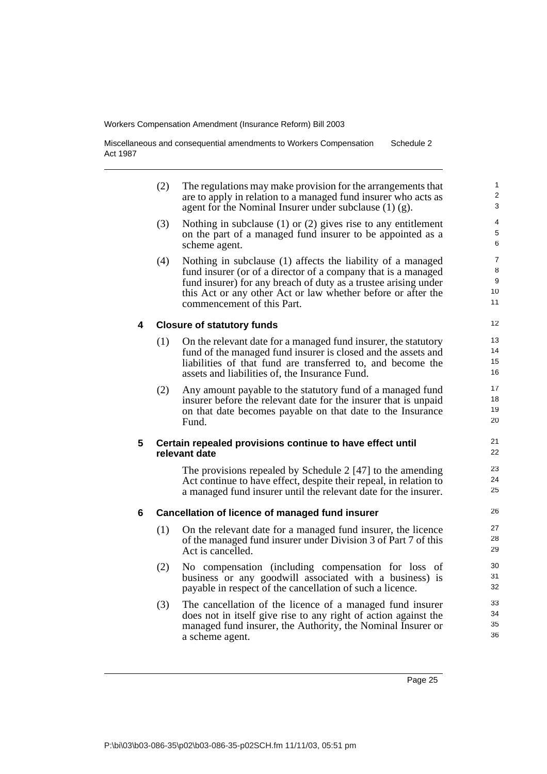Miscellaneous and consequential amendments to Workers Compensation Act 1987 Schedule 2

| (2) | The regulations may make provision for the arrangements that   |
|-----|----------------------------------------------------------------|
|     | are to apply in relation to a managed fund insurer who acts as |
|     | agent for the Nominal Insurer under subclause $(1)$ (g).       |

- (3) Nothing in subclause (1) or (2) gives rise to any entitlement on the part of a managed fund insurer to be appointed as a scheme agent.
- (4) Nothing in subclause (1) affects the liability of a managed fund insurer (or of a director of a company that is a managed fund insurer) for any breach of duty as a trustee arising under this Act or any other Act or law whether before or after the commencement of this Part.

#### **4 Closure of statutory funds**

- (1) On the relevant date for a managed fund insurer, the statutory fund of the managed fund insurer is closed and the assets and liabilities of that fund are transferred to, and become the assets and liabilities of, the Insurance Fund.
- (2) Any amount payable to the statutory fund of a managed fund insurer before the relevant date for the insurer that is unpaid on that date becomes payable on that date to the Insurance Fund.

#### **5 Certain repealed provisions continue to have effect until relevant date**

The provisions repealed by Schedule 2 [47] to the amending Act continue to have effect, despite their repeal, in relation to a managed fund insurer until the relevant date for the insurer.

#### **6 Cancellation of licence of managed fund insurer**

- (1) On the relevant date for a managed fund insurer, the licence of the managed fund insurer under Division 3 of Part 7 of this Act is cancelled.
- (2) No compensation (including compensation for loss of business or any goodwill associated with a business) is payable in respect of the cancellation of such a licence.
- (3) The cancellation of the licence of a managed fund insurer does not in itself give rise to any right of action against the managed fund insurer, the Authority, the Nominal Insurer or a scheme agent.

Page 25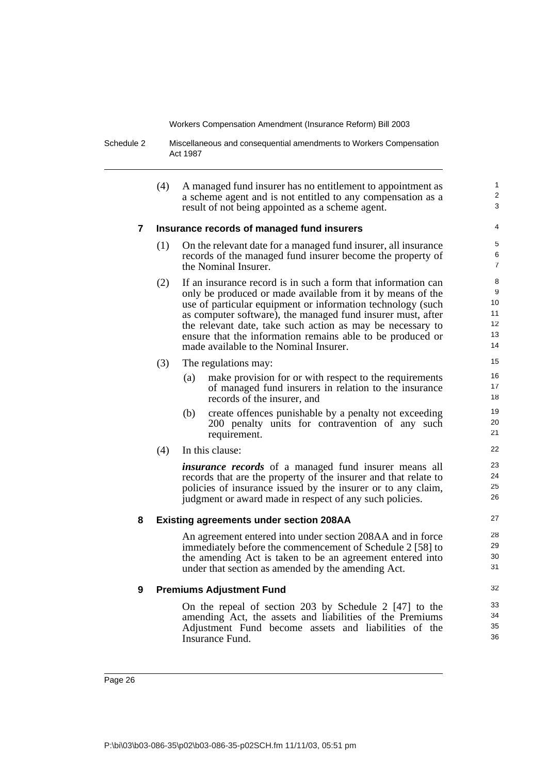Schedule 2 Miscellaneous and consequential amendments to Workers Compensation Act 1987

|   | (4)                                            |                                                                                                                                                                                                                                                            | A managed fund insurer has no entitlement to appointment as<br>a scheme agent and is not entitled to any compensation as a<br>result of not being appointed as a scheme agent.                                                                                                                                                                                                                                                  | $\mathbf{1}$<br>$\overline{2}$<br>3  |  |
|---|------------------------------------------------|------------------------------------------------------------------------------------------------------------------------------------------------------------------------------------------------------------------------------------------------------------|---------------------------------------------------------------------------------------------------------------------------------------------------------------------------------------------------------------------------------------------------------------------------------------------------------------------------------------------------------------------------------------------------------------------------------|--------------------------------------|--|
| 7 |                                                |                                                                                                                                                                                                                                                            | Insurance records of managed fund insurers                                                                                                                                                                                                                                                                                                                                                                                      | 4                                    |  |
|   | (1)                                            |                                                                                                                                                                                                                                                            | On the relevant date for a managed fund insurer, all insurance<br>records of the managed fund insurer become the property of<br>the Nominal Insurer.                                                                                                                                                                                                                                                                            | 5<br>6<br>$\overline{7}$             |  |
|   | (2)                                            |                                                                                                                                                                                                                                                            | If an insurance record is in such a form that information can<br>only be produced or made available from it by means of the<br>use of particular equipment or information technology (such<br>as computer software), the managed fund insurer must, after<br>the relevant date, take such action as may be necessary to<br>ensure that the information remains able to be produced or<br>made available to the Nominal Insurer. | 8<br>9<br>10<br>11<br>12<br>13<br>14 |  |
|   | (3)                                            |                                                                                                                                                                                                                                                            | The regulations may:                                                                                                                                                                                                                                                                                                                                                                                                            | 15                                   |  |
|   |                                                | (a)                                                                                                                                                                                                                                                        | make provision for or with respect to the requirements<br>of managed fund insurers in relation to the insurance<br>records of the insurer, and                                                                                                                                                                                                                                                                                  | 16<br>17<br>18                       |  |
|   |                                                | (b)                                                                                                                                                                                                                                                        | create offences punishable by a penalty not exceeding<br>200 penalty units for contravention of any such<br>requirement.                                                                                                                                                                                                                                                                                                        | 19<br>20<br>21                       |  |
|   | (4)                                            |                                                                                                                                                                                                                                                            | In this clause:                                                                                                                                                                                                                                                                                                                                                                                                                 | 22                                   |  |
|   |                                                | <i>insurance records</i> of a managed fund insurer means all<br>records that are the property of the insurer and that relate to<br>policies of insurance issued by the insurer or to any claim,<br>judgment or award made in respect of any such policies. |                                                                                                                                                                                                                                                                                                                                                                                                                                 | 23<br>24<br>25<br>26                 |  |
| 8 | <b>Existing agreements under section 208AA</b> |                                                                                                                                                                                                                                                            |                                                                                                                                                                                                                                                                                                                                                                                                                                 |                                      |  |
|   |                                                |                                                                                                                                                                                                                                                            | An agreement entered into under section 208AA and in force<br>immediately before the commencement of Schedule 2 [58] to<br>the amending Act is taken to be an agreement entered into<br>under that section as amended by the amending Act.                                                                                                                                                                                      | 28<br>29<br>30<br>31                 |  |
| 9 | <b>Premiums Adjustment Fund</b>                |                                                                                                                                                                                                                                                            |                                                                                                                                                                                                                                                                                                                                                                                                                                 | 32                                   |  |
|   |                                                |                                                                                                                                                                                                                                                            | On the repeal of section 203 by Schedule 2 [47] to the<br>amending Act the assets and liabilities of the Premiums                                                                                                                                                                                                                                                                                                               | 33<br>34                             |  |

amending Act, the assets and liabilities of the Premiums Adjustment Fund become assets and liabilities of the Insurance Fund.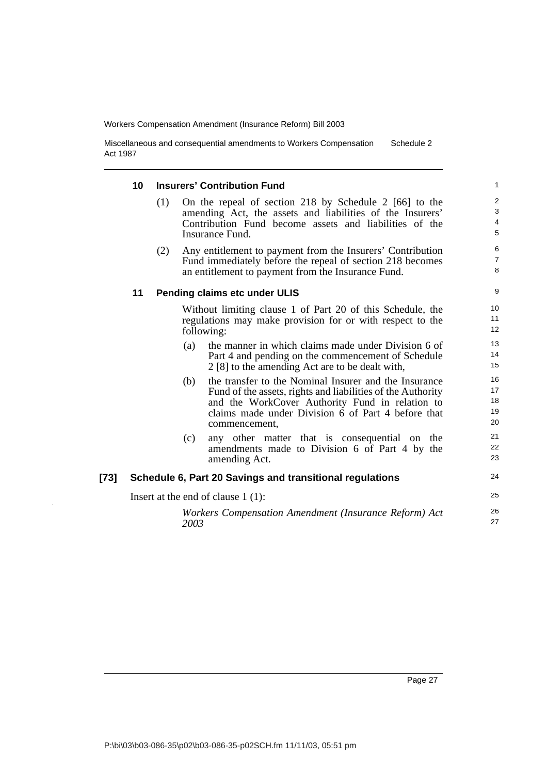Miscellaneous and consequential amendments to Workers Compensation Act 1987 Schedule 2

#### **10 Insurers' Contribution Fund**

- (1) On the repeal of section 218 by Schedule 2 [66] to the amending Act, the assets and liabilities of the Insurers' Contribution Fund become assets and liabilities of the Insurance Fund.
- (2) Any entitlement to payment from the Insurers' Contribution Fund immediately before the repeal of section 218 becomes an entitlement to payment from the Insurance Fund.

#### **11 Pending claims etc under ULIS**

Without limiting clause 1 of Part 20 of this Schedule, the regulations may make provision for or with respect to the following:

- (a) the manner in which claims made under Division 6 of Part 4 and pending on the commencement of Schedule 2 [8] to the amending Act are to be dealt with,
- (b) the transfer to the Nominal Insurer and the Insurance Fund of the assets, rights and liabilities of the Authority and the WorkCover Authority Fund in relation to claims made under Division  $\vec{6}$  of Part 4 before that commencement,
- (c) any other matter that is consequential on the amendments made to Division 6 of Part 4 by the amending Act.

#### **[73] Schedule 6, Part 20 Savings and transitional regulations**

Insert at the end of clause 1 (1):

*Workers Compensation Amendment (Insurance Reform) Act 2003*

Page 27

24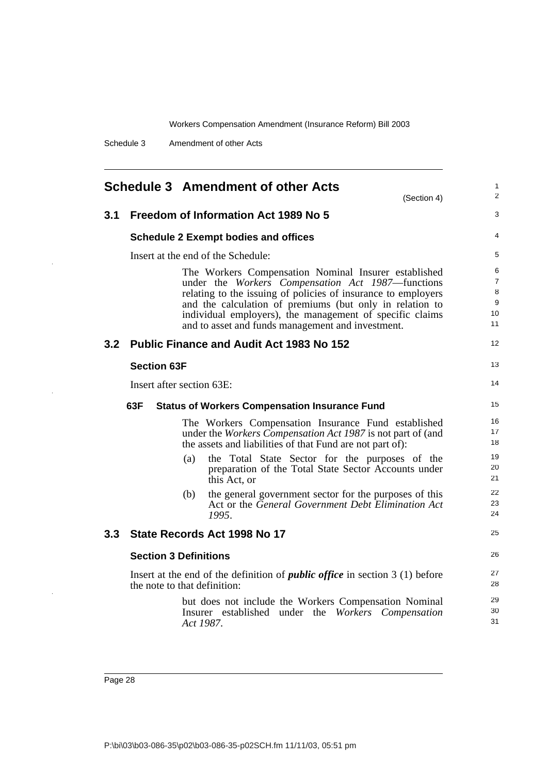<span id="page-35-0"></span>

|                  |                    | <b>Schedule 3 Amendment of other Acts</b><br>(Section 4)                                                                                                                                                                                                                                                                                                | $\mathbf{1}$<br>2                         |
|------------------|--------------------|---------------------------------------------------------------------------------------------------------------------------------------------------------------------------------------------------------------------------------------------------------------------------------------------------------------------------------------------------------|-------------------------------------------|
| 3.1              |                    | Freedom of Information Act 1989 No 5                                                                                                                                                                                                                                                                                                                    | 3                                         |
|                  |                    | <b>Schedule 2 Exempt bodies and offices</b>                                                                                                                                                                                                                                                                                                             | 4                                         |
|                  |                    | Insert at the end of the Schedule:                                                                                                                                                                                                                                                                                                                      | 5                                         |
|                  |                    | The Workers Compensation Nominal Insurer established<br>under the Workers Compensation Act 1987-functions<br>relating to the issuing of policies of insurance to employers<br>and the calculation of premiums (but only in relation to<br>individual employers), the management of specific claims<br>and to asset and funds management and investment. | 6<br>$\overline{7}$<br>8<br>9<br>10<br>11 |
| 3.2 <sub>2</sub> |                    | <b>Public Finance and Audit Act 1983 No 152</b>                                                                                                                                                                                                                                                                                                         | 12                                        |
|                  | <b>Section 63F</b> |                                                                                                                                                                                                                                                                                                                                                         | 13                                        |
|                  |                    | Insert after section 63E:                                                                                                                                                                                                                                                                                                                               | 14                                        |
|                  | 63F                | <b>Status of Workers Compensation Insurance Fund</b>                                                                                                                                                                                                                                                                                                    | 15                                        |
|                  |                    | The Workers Compensation Insurance Fund established<br>under the Workers Compensation Act 1987 is not part of (and<br>the assets and liabilities of that Fund are not part of):                                                                                                                                                                         | 16<br>17<br>18                            |
|                  |                    | (a)<br>the Total State Sector for the purposes of the<br>preparation of the Total State Sector Accounts under<br>this Act, or                                                                                                                                                                                                                           | 19<br>20<br>21                            |
|                  |                    | the general government sector for the purposes of this<br>(b)<br>Act or the General Government Debt Elimination Act<br>1995.                                                                                                                                                                                                                            | 22<br>23<br>24                            |
| 3.3              |                    | State Records Act 1998 No 17                                                                                                                                                                                                                                                                                                                            | 25                                        |
|                  |                    | <b>Section 3 Definitions</b>                                                                                                                                                                                                                                                                                                                            | 26                                        |
|                  |                    | Insert at the end of the definition of <i>public office</i> in section $3(1)$ before<br>the note to that definition:                                                                                                                                                                                                                                    | 27<br>28                                  |
|                  |                    | but does not include the Workers Compensation Nominal<br>Insurer established under the Workers Compensation<br>Act 1987.                                                                                                                                                                                                                                | 29<br>30<br>31                            |

 $\frac{1}{2}$ 

 $\overline{\phantom{a}}$ 

 $\bar{z}$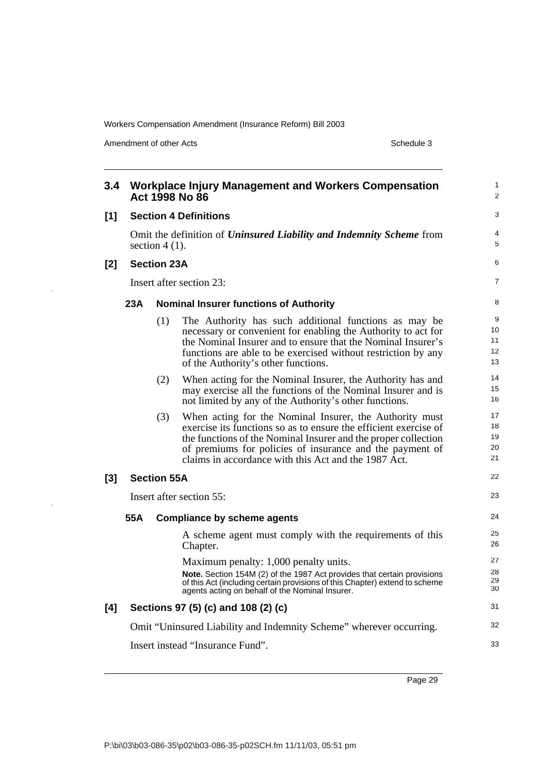Amendment of other Acts Schedule 3

l,

ò,

| 3.4   |                                                      |                    | Workplace Injury Management and Workers Compensation<br><b>Act 1998 No 86</b>                                                                                                                                                                                                                                     | 1<br>2                     |
|-------|------------------------------------------------------|--------------------|-------------------------------------------------------------------------------------------------------------------------------------------------------------------------------------------------------------------------------------------------------------------------------------------------------------------|----------------------------|
| [1]   |                                                      |                    | <b>Section 4 Definitions</b>                                                                                                                                                                                                                                                                                      | 3                          |
|       |                                                      | section $4(1)$ .   | Omit the definition of <i>Uninsured Liability and Indemnity Scheme</i> from                                                                                                                                                                                                                                       | 4<br>5                     |
| [2]   |                                                      | <b>Section 23A</b> |                                                                                                                                                                                                                                                                                                                   | 6                          |
|       | Insert after section 23:                             |                    |                                                                                                                                                                                                                                                                                                                   | 7                          |
|       | 23A<br><b>Nominal Insurer functions of Authority</b> |                    |                                                                                                                                                                                                                                                                                                                   | 8                          |
|       |                                                      | (1)                | The Authority has such additional functions as may be<br>necessary or convenient for enabling the Authority to act for<br>the Nominal Insurer and to ensure that the Nominal Insurer's<br>functions are able to be exercised without restriction by any<br>of the Authority's other functions.                    | 9<br>10<br>11<br>12<br>13  |
|       |                                                      | (2)                | When acting for the Nominal Insurer, the Authority has and<br>may exercise all the functions of the Nominal Insurer and is<br>not limited by any of the Authority's other functions.                                                                                                                              | 14<br>15<br>16             |
|       |                                                      | (3)                | When acting for the Nominal Insurer, the Authority must<br>exercise its functions so as to ensure the efficient exercise of<br>the functions of the Nominal Insurer and the proper collection<br>of premiums for policies of insurance and the payment of<br>claims in accordance with this Act and the 1987 Act. | 17<br>18<br>19<br>20<br>21 |
| $[3]$ |                                                      | <b>Section 55A</b> |                                                                                                                                                                                                                                                                                                                   | 22                         |
|       |                                                      |                    | Insert after section 55:                                                                                                                                                                                                                                                                                          | 23                         |
|       | 55A                                                  |                    | <b>Compliance by scheme agents</b>                                                                                                                                                                                                                                                                                | 24                         |
|       |                                                      |                    | A scheme agent must comply with the requirements of this<br>Chapter.                                                                                                                                                                                                                                              | 25<br>26                   |
|       |                                                      |                    | Maximum penalty: 1,000 penalty units.<br>Note. Section 154M (2) of the 1987 Act provides that certain provisions<br>of this Act (including certain provisions of this Chapter) extend to scheme<br>agents acting on behalf of the Nominal Insurer.                                                                | 27<br>28<br>29<br>30       |
| [4]   |                                                      |                    | Sections 97 (5) (c) and 108 (2) (c)                                                                                                                                                                                                                                                                               | 31                         |
|       |                                                      |                    | Omit "Uninsured Liability and Indemnity Scheme" wherever occurring.                                                                                                                                                                                                                                               | 32                         |
|       |                                                      |                    | Insert instead "Insurance Fund".                                                                                                                                                                                                                                                                                  | 33                         |
|       |                                                      |                    |                                                                                                                                                                                                                                                                                                                   |                            |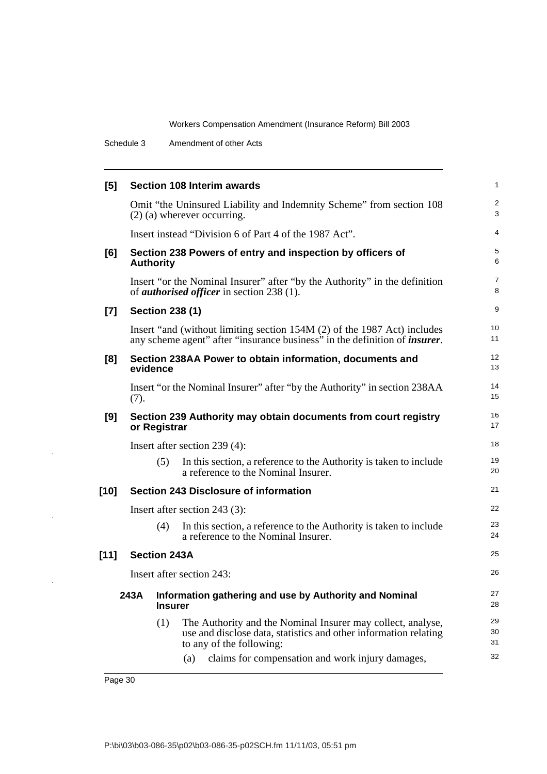| [5]    |                                 |                                                                          | <b>Section 108 Interim awards</b>                                                                                                                              | $\mathbf{1}$        |
|--------|---------------------------------|--------------------------------------------------------------------------|----------------------------------------------------------------------------------------------------------------------------------------------------------------|---------------------|
|        |                                 |                                                                          | Omit "the Uninsured Liability and Indemnity Scheme" from section 108<br>$(2)$ (a) wherever occurring.                                                          | $\overline{c}$<br>3 |
|        |                                 |                                                                          | Insert instead "Division 6 of Part 4 of the 1987 Act".                                                                                                         | $\overline{4}$      |
| [6]    |                                 | <b>Authority</b>                                                         | Section 238 Powers of entry and inspection by officers of                                                                                                      | 5<br>6              |
|        |                                 |                                                                          | Insert "or the Nominal Insurer" after "by the Authority" in the definition<br>of <i>authorised officer</i> in section 238 (1).                                 | $\overline{7}$<br>8 |
| $[7]$  |                                 |                                                                          | <b>Section 238 (1)</b>                                                                                                                                         | 9                   |
|        |                                 |                                                                          | Insert "and (without limiting section 154M (2) of the 1987 Act) includes<br>any scheme agent" after "insurance business" in the definition of <i>insurer</i> . | 10<br>11            |
| [8]    |                                 | evidence                                                                 | Section 238AA Power to obtain information, documents and                                                                                                       | 12<br>13            |
|        | (7).                            |                                                                          | Insert "or the Nominal Insurer" after "by the Authority" in section 238AA                                                                                      | 14<br>15            |
| [9]    |                                 | or Registrar                                                             | Section 239 Authority may obtain documents from court registry                                                                                                 | 16<br>17            |
|        | Insert after section 239 (4):   |                                                                          |                                                                                                                                                                | 18                  |
|        |                                 | (5)                                                                      | In this section, a reference to the Authority is taken to include<br>a reference to the Nominal Insurer.                                                       | 19<br>20            |
| $[10]$ |                                 |                                                                          | Section 243 Disclosure of information                                                                                                                          | 21                  |
|        | Insert after section $243(3)$ : |                                                                          |                                                                                                                                                                | 22                  |
|        |                                 | (4)                                                                      | In this section, a reference to the Authority is taken to include<br>a reference to the Nominal Insurer.                                                       | 23<br>24            |
| [11]   |                                 | <b>Section 243A</b>                                                      |                                                                                                                                                                | 25                  |
|        |                                 |                                                                          | Insert after section 243:                                                                                                                                      | 26                  |
| 243A   |                                 | Information gathering and use by Authority and Nominal<br><b>Insurer</b> |                                                                                                                                                                | 27<br>28            |
|        |                                 | (1)                                                                      | The Authority and the Nominal Insurer may collect, analyse,<br>use and disclose data, statistics and other information relating<br>to any of the following:    | 29<br>30<br>31      |
|        |                                 |                                                                          | claims for compensation and work injury damages,<br>(a)                                                                                                        | 32                  |

Page 30

J.

 $\bar{z}$